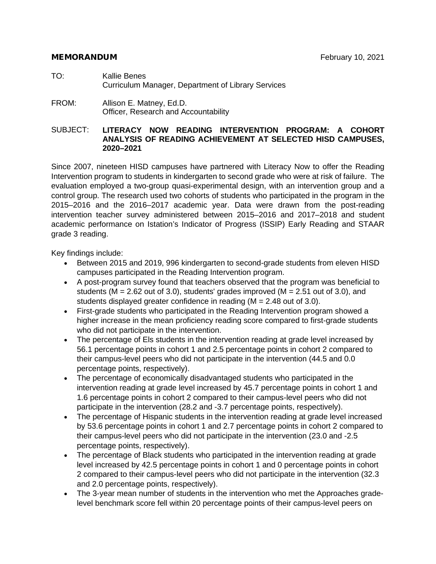#### MEMORANDUM February 10, 2021

- TO: Kallie Benes Curriculum Manager, Department of Library Services
- FROM: Allison E. Matney, Ed.D. Officer, Research and Accountability

#### SUBJECT: **LITERACY NOW READING INTERVENTION PROGRAM: A COHORT ANALYSIS OF READING ACHIEVEMENT AT SELECTED HISD CAMPUSES, 2020–2021**

Since 2007, nineteen HISD campuses have partnered with Literacy Now to offer the Reading Intervention program to students in kindergarten to second grade who were at risk of failure. The evaluation employed a two-group quasi-experimental design, with an intervention group and a control group. The research used two cohorts of students who participated in the program in the 2015–2016 and the 2016–2017 academic year. Data were drawn from the post-reading intervention teacher survey administered between 2015–2016 and 2017–2018 and student academic performance on Istation's Indicator of Progress (ISSIP) Early Reading and STAAR grade 3 reading.

Key findings include:

- Between 2015 and 2019, 996 kindergarten to second-grade students from eleven HISD campuses participated in the Reading Intervention program.
- A post-program survey found that teachers observed that the program was beneficial to students ( $M = 2.62$  out of 3.0), students' grades improved ( $M = 2.51$  out of 3.0), and students displayed greater confidence in reading (M = 2.48 out of 3.0).
- First-grade students who participated in the Reading Intervention program showed a higher increase in the mean proficiency reading score compared to first-grade students who did not participate in the intervention.
- The percentage of Els students in the intervention reading at grade level increased by 56.1 percentage points in cohort 1 and 2.5 percentage points in cohort 2 compared to their campus-level peers who did not participate in the intervention (44.5 and 0.0 percentage points, respectively).
- The percentage of economically disadvantaged students who participated in the intervention reading at grade level increased by 45.7 percentage points in cohort 1 and 1.6 percentage points in cohort 2 compared to their campus-level peers who did not participate in the intervention (28.2 and -3.7 percentage points, respectively).
- The percentage of Hispanic students in the intervention reading at grade level increased by 53.6 percentage points in cohort 1 and 2.7 percentage points in cohort 2 compared to their campus-level peers who did not participate in the intervention (23.0 and -2.5 percentage points, respectively).
- The percentage of Black students who participated in the intervention reading at grade level increased by 42.5 percentage points in cohort 1 and 0 percentage points in cohort 2 compared to their campus-level peers who did not participate in the intervention (32.3 and 2.0 percentage points, respectively).
- The 3-year mean number of students in the intervention who met the Approaches gradelevel benchmark score fell within 20 percentage points of their campus-level peers on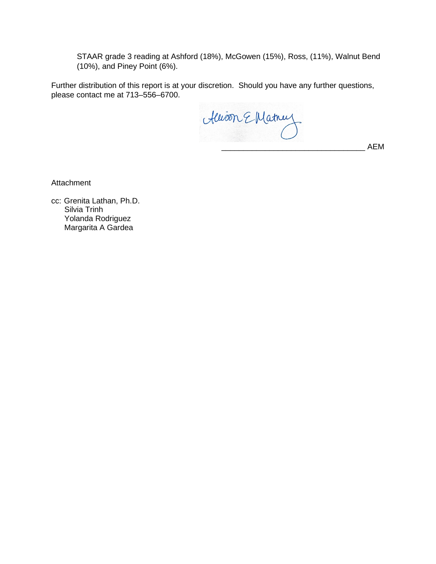STAAR grade 3 reading at Ashford (18%), McGowen (15%), Ross, (11%), Walnut Bend (10%), and Piney Point (6%).

Further distribution of this report is at your discretion. Should you have any further questions, please contact me at 713–556–6700.

Allion E Matnuz

\_\_\_\_\_\_\_\_\_\_\_\_\_\_\_\_\_\_\_\_\_\_\_\_\_\_\_\_\_\_\_\_\_ AEM

**Attachment** 

cc: Grenita Lathan, Ph.D. Silvia Trinh Yolanda Rodriguez Margarita A Gardea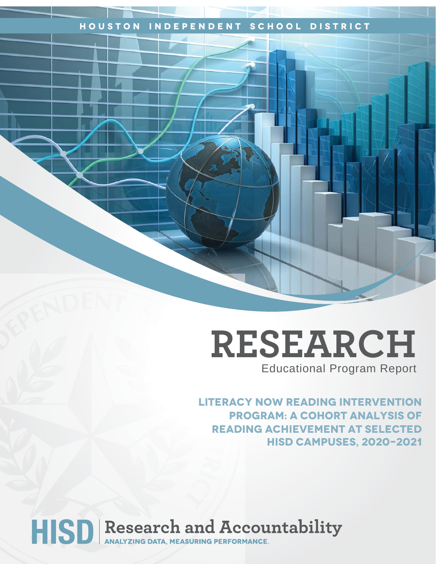### **Houston Independent School District**

## **RESEARCH** Educational Program Report

**Literacy Now Reading Intervention program: A cohort analysis of reading achievement at selected HISD campuses, 2020–2021**

# HISD Research and Accountability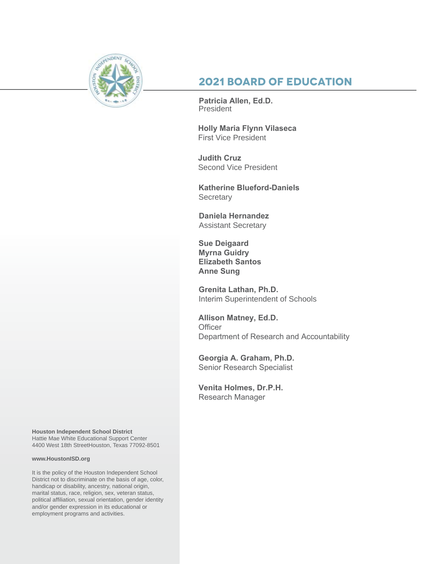

## **2021 Board of Education**

**Patricia Allen, Ed.D.** President

**Holly Maria Flynn Vilaseca**  First Vice President

**Judith Cruz**  Second Vice President

**Katherine Blueford-Daniels Secretary** 

**Daniela Hernandez** Assistant Secretary

**Sue Deigaard Myrna Guidry Elizabeth Santos Anne Sung**

**Grenita Lathan, Ph.D.**  Interim Superintendent of Schools

**Allison Matney, Ed.D. Officer** Department of Research and Accountability

**Georgia A. Graham, Ph.D.**  Senior Research Specialist

**Venita Holmes, Dr.P.H.**  Research Manager

**Houston Independent School District** Hattie Mae White Educational Support Center 4400 West 18th StreetHouston, Texas 77092-8501

#### **www.HoustonISD.org**

It is the policy of the Houston Independent School District not to discriminate on the basis of age, color, handicap or disability, ancestry, national origin, marital status, race, religion, sex, veteran status, political affiliation, sexual orientation, gender identity and/or gender expression in its educational or employment programs and activities.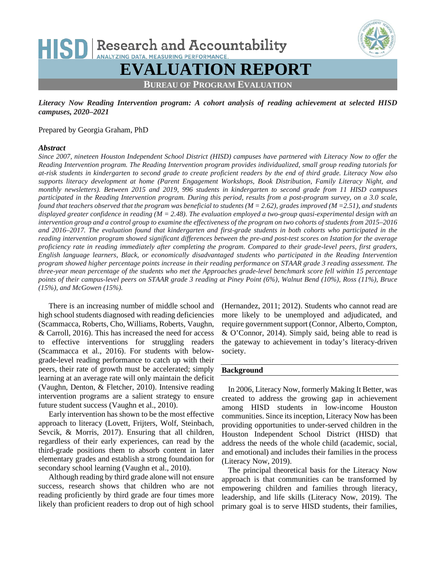## HISD Research and Accountability **ANALYZING DATA, MEASURING PERFORMANCE EVALUATION REPORT BUREAU OF PROGRAM EVALUATION**

*Literacy Now Reading Intervention program: A cohort analysis of reading achievement at selected HISD campuses, 2020–2021*

#### Prepared by Georgia Graham, PhD

#### *Abstract*

*Since 2007, nineteen Houston Independent School District (HISD) campuses have partnered with Literacy Now to offer the Reading Intervention program. The Reading Intervention program provides individualized, small group reading tutorials for at-risk students in kindergarten to second grade to create proficient readers by the end of third grade. Literacy Now also supports literacy development at home (Parent Engagement Workshops, Book Distribution, Family Literacy Night, and monthly newsletters). Between 2015 and 2019, 996 students in kindergarten to second grade from 11 HISD campuses participated in the Reading Intervention program. During this period, results from a post-program survey, on a 3.0 scale, found that teachers observed that the program was beneficial to students (M = 2.62), grades improved (M =2.51), and students displayed greater confidence in reading (M = 2.48). The evaluation employed a two-group quasi-experimental design with an intervention group and a control group to examine the effectiveness of the program on two cohorts of students from 2015–2016 and 2016–2017. The evaluation found that kindergarten and first-grade students in both cohorts who participated in the reading intervention program showed significant differences between the pre-and post-test scores on Istation for the average proficiency rate in reading immediately after completing the program. Compared to their grade-level peers, first graders, English language learners, Black, or economically disadvantaged students who participated in the Reading Intervention program showed higher percentage points increase in their reading performance on STAAR grade 3 reading assessment. The three-year mean percentage of the students who met the Approaches grade-level benchmark score fell within 15 percentage points of their campus-level peers on STAAR grade 3 reading at Piney Point (6%), Walnut Bend (10%), Ross (11%), Bruce (15%), and McGowen (15%).*

There is an increasing number of middle school and high school students diagnosed with reading deficiencies (Scammacca, Roberts, Cho, Williams, Roberts, Vaughn, & Carroll, 2016). This has increased the need for access to effective interventions for struggling readers (Scammacca et al., 2016). For students with belowgrade-level reading performance to catch up with their peers, their rate of growth must be accelerated; simply learning at an average rate will only maintain the deficit (Vaughn, Denton, & Fletcher, 2010). Intensive reading intervention programs are a salient strategy to ensure future student success (Vaughn et al., 2010).

Early intervention has shown to be the most effective approach to literacy (Lovett, Frijters, Wolf, Steinbach, Sevcik, & Morris, 2017). Ensuring that all children, regardless of their early experiences, can read by the third-grade positions them to absorb content in later elementary grades and establish a strong foundation for secondary school learning (Vaughn et al., 2010).

Although reading by third grade alone will not ensure success, research shows that children who are not reading proficiently by third grade are four times more likely than proficient readers to drop out of high school

(Hernandez, 2011; 2012). Students who cannot read are more likely to be unemployed and adjudicated, and require government support (Connor, Alberto, Compton, & O'Connor, 2014). Simply said, being able to read is the gateway to achievement in today's literacy-driven society.

#### **Background**

In 2006, Literacy Now, formerly Making It Better, was created to address the growing gap in achievement among HISD students in low-income Houston communities. Since its inception, Literacy Now has been providing opportunities to under-served children in the Houston Independent School District (HISD) that address the needs of the whole child (academic, social, and emotional) and includes their families in the process (Literacy Now, 2019).

The principal theoretical basis for the Literacy Now approach is that communities can be transformed by empowering children and families through literacy, leadership, and life skills (Literacy Now, 2019). The primary goal is to serve HISD students, their families,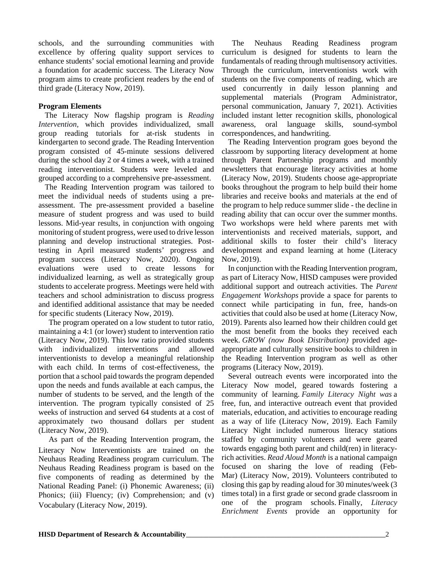schools, and the surrounding communities with excellence by offering quality support services to enhance students' social emotional learning and provide a foundation for academic success. The Literacy Now program aims to create proficient readers by the end of third grade (Literacy Now, 2019).

#### **Program Elements**

The Literacy Now flagship program is *Reading Intervention,* which provides individualized, small group reading tutorials for at-risk students in kindergarten to second grade. The Reading Intervention program consisted of 45-minute sessions delivered during the school day 2 or 4 times a week, with a trained reading interventionist. Students were leveled and grouped according to a comprehensive pre-assessment.

The Reading Intervention program was tailored to meet the individual needs of students using a preassessment. The pre-assessment provided a baseline measure of student progress and was used to build lessons. Mid-year results, in conjunction with ongoing monitoring of student progress, were used to drive lesson planning and develop instructional strategies. Posttesting in April measured students' progress and program success (Literacy Now, 2020). Ongoing evaluations were used to create lessons for individualized learning, as well as strategically group students to accelerate progress. Meetings were held with teachers and school administration to discuss progress and identified additional assistance that may be needed for specific students (Literacy Now, 2019).

The program operated on a low student to tutor ratio, maintaining a 4:1 (or lower) student to intervention ratio (Literacy Now, 2019). This low ratio provided students with individualized interventions and allowed interventionists to develop a meaningful relationship with each child. In terms of cost-effectiveness, the portion that a school paid towards the program depended upon the needs and funds available at each campus, the number of students to be served, and the length of the intervention. The program typically consisted of 25 weeks of instruction and served 64 students at a cost of approximately two thousand dollars per student (Literacy Now, 2019).

As part of the Reading Intervention program, the Literacy Now Interventionists are trained on the Neuhaus Reading Readiness program curriculum. The Neuhaus Reading Readiness program is based on the five components of reading as determined by the National Reading Panel: (i) Phonemic Awareness; (ii) Phonics; (iii) Fluency; (iv) Comprehension; and (v) Vocabulary (Literacy Now, 2019).

The Neuhaus Reading Readiness program curriculum is designed for students to learn the fundamentals of reading through multisensory activities. Through the curriculum, interventionists work with students on the five components of reading, which are used concurrently in daily lesson planning and supplemental materials (Program Administrator, personal communication, January 7, 2021). Activities included instant letter recognition skills, phonological awareness, oral language skills, sound-symbol correspondences, and handwriting.

The Reading Intervention program goes beyond the classroom by supporting literacy development at home through Parent Partnership programs and monthly newsletters that encourage literacy activities at home (Literacy Now, 2019). Students choose age-appropriate books throughout the program to help build their home libraries and receive books and materials at the end of the program to help reduce summer slide - the decline in reading ability that can occur over the summer months. Two workshops were held where parents met with interventionists and received materials, support, and additional skills to foster their child's literacy development and expand learning at home (Literacy Now, 2019).

In conjunction with the Reading Intervention program, as part of Literacy Now, HISD campuses were provided additional support and outreach activities. The *Parent Engagement Workshops* provide a space for parents to connect while participating in fun, free, hands-on activities that could also be used at home (Literacy Now, 2019). Parents also learned how their children could get the most benefit from the books they received each week. *GROW (now Book Distribution)* provided ageappropriate and culturally sensitive books to children in the Reading Intervention program as well as other programs (Literacy Now, 2019).

Several outreach events were incorporated into the Literacy Now model, geared towards fostering a community of learning. *Family Literacy Night was* a free, fun, and interactive outreach event that provided materials, education, and activities to encourage reading as a way of life (Literacy Now, 2019). Each Family Literacy Night included numerous literacy stations staffed by community volunteers and were geared towards engaging both parent and child(ren) in literacyrich activities. *Read Aloud Month* is a national campaign focused on sharing the love of reading (Feb-Mar) (Literacy Now, 2019). Volunteers contributed to closing this gap by reading aloud for 30 minutes/week (3 times total) in a first grade or second grade classroom in one of the program schools. Finally, *Literacy Enrichment Events* provide an opportunity for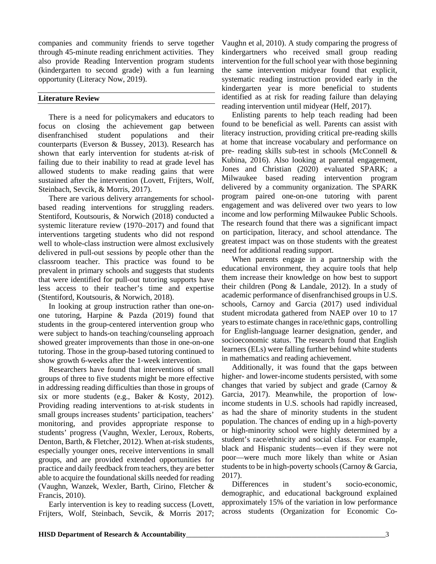companies and community friends to serve together through 45-minute reading enrichment activities. They also provide Reading Intervention program students (kindergarten to second grade) with a fun learning opportunity (Literacy Now, 2019).

#### **Literature Review**

There is a need for policymakers and educators to focus on closing the achievement gap between disenfranchised student populations and their counterparts (Everson & Bussey, 2013). Research has shown that early intervention for students at-risk of failing due to their inability to read at grade level has allowed students to make reading gains that were sustained after the intervention (Lovett, Frijters, Wolf, Steinbach, Sevcik, & Morris, 2017).

There are various delivery arrangements for schoolbased reading interventions for struggling readers. Stentiford, Koutsouris, & Norwich (2018) conducted a systemic literature review (1970–2017) and found that interventions targeting students who did not respond well to whole-class instruction were almost exclusively delivered in pull‐out sessions by people other than the classroom teacher. This practice was found to be prevalent in primary schools and suggests that students that were identified for pull-out tutoring supports have less access to their teacher's time and expertise (Stentiford, Koutsouris, & Norwich, 2018).

In looking at group instruction rather than one-onone tutoring, Harpine & Pazda (2019) found that students in the group-centered intervention group who were subject to hands-on teaching/counseling approach showed greater improvements than those in one-on-one tutoring. Those in the group-based tutoring continued to show growth 6-weeks after the 1-week intervention.

Researchers have found that interventions of small groups of three to five students might be more effective in addressing reading difficulties than those in groups of six or more students (e.g., Baker & Kosty, 2012). Providing reading interventions to at-risk students in small groups increases students' participation, teachers' monitoring, and provides appropriate response to students' progress (Vaughn, Wexler, Leroux, Roberts, Denton, Barth, & Fletcher, 2012). When at-risk students, especially younger ones, receive interventions in small groups, and are provided extended opportunities for practice and daily feedback from teachers, they are better able to acquire the foundational skills needed for reading (Vaughn, Wanzek, Wexler, Barth, Cirino, Fletcher & Francis, 2010).

Early intervention is key to reading success (Lovett, Frijters, Wolf, Steinbach, Sevcik, & Morris 2017;

Vaughn et al, 2010). A study comparing the progress of kindergartners who received small group reading intervention for the full school year with those beginning the same intervention midyear found that explicit, systematic reading instruction provided early in the kindergarten year is more beneficial to students identified as at risk for reading failure than delaying reading intervention until midyear (Helf, 2017).

Enlisting parents to help teach reading had been found to be beneficial as well. Parents can assist with literacy instruction, providing critical pre-reading skills at home that increase vocabulary and performance on pre- reading skills sub-test in schools (McConnell & Kubina, 2016). Also looking at parental engagement, Jones and Christian (2020) evaluated SPARK; a Milwaukee based reading intervention program delivered by a community organization. The SPARK program paired one-on-one tutoring with parent engagement and was delivered over two years to low income and low performing Milwaukee Public Schools. The research found that there was a significant impact on participation, literacy, and school attendance. The greatest impact was on those students with the greatest need for additional reading support.

When parents engage in a partnership with the educational environment, they acquire tools that help them increase their knowledge on how best to support their children (Pong & Landale, 2012). In a study of academic performance of disenfranchised groups in U.S. schools, Carnoy and Garcia (2017) used individual student microdata gathered from NAEP over 10 to 17 years to estimate changes in race/ethnic gaps, controlling for English-language learner designation, gender, and socioeconomic status. The research found that English learners (ELs) were falling further behind white students in mathematics and reading achievement.

Additionally, it was found that the gaps between higher- and lower-income students persisted, with some changes that varied by subject and grade (Carnoy & Garcia, 2017). Meanwhile, the proportion of lowincome students in U.S. schools had rapidly increased, as had the share of minority students in the student population. The chances of ending up in a high-poverty or high-minority school were highly determined by a student's race/ethnicity and social class. For example, black and Hispanic students—even if they were not poor—were much more likely than white or Asian students to be in high-poverty schools (Carnoy & Garcia, 2017).

Differences in student's socio-economic, demographic, and educational background explained approximately 15% of the variation in low performance across students (Organization for Economic Co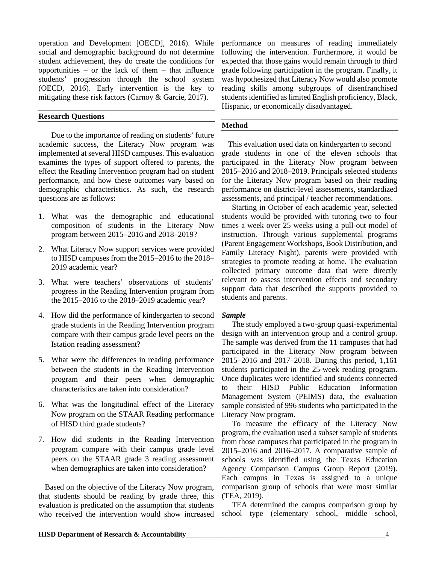operation and Development [OECD], 2016). While social and demographic background do not determine student achievement, they do create the conditions for opportunities – or the lack of them – that influence students' progression through the school system (OECD, 2016). Early intervention is the key to mitigating these risk factors (Carnoy & Garcie, 2017).

#### **Research Questions**

Due to the importance of reading on students' future academic success, the Literacy Now program was implemented at several HISD campuses. This evaluation examines the types of support offered to parents, the effect the Reading Intervention program had on student performance, and how these outcomes vary based on demographic characteristics. As such, the research questions are as follows:

- 1. What was the demographic and educational composition of students in the Literacy Now program between 2015–2016 and 2018–2019?
- 2. What Literacy Now support services were provided to HISD campuses from the 2015–2016 to the 2018– 2019 academic year?
- 3. What were teachers' observations of students' progress in the Reading Intervention program from the 2015–2016 to the 2018–2019 academic year?
- 4. How did the performance of kindergarten to second grade students in the Reading Intervention program compare with their campus grade level peers on the Istation reading assessment?
- 5. What were the differences in reading performance between the students in the Reading Intervention program and their peers when demographic characteristics are taken into consideration?
- 6. What was the longitudinal effect of the Literacy Now program on the STAAR Reading performance of HISD third grade students?
- 7. How did students in the Reading Intervention program compare with their campus grade level peers on the STAAR grade 3 reading assessment when demographics are taken into consideration?

Based on the objective of the Literacy Now program, that students should be reading by grade three, this evaluation is predicated on the assumption that students who received the intervention would show increased

performance on measures of reading immediately following the intervention. Furthermore, it would be expected that those gains would remain through to third grade following participation in the program. Finally, it was hypothesized that Literacy Now would also promote reading skills among subgroups of disenfranchised students identified as limited English proficiency, Black, Hispanic, or economically disadvantaged.

#### **Method**

This evaluation used data on kindergarten to second grade students in one of the eleven schools that participated in the Literacy Now program between 2015–2016 and 2018–2019. Principals selected students for the Literacy Now program based on their reading performance on district-level assessments, standardized assessments, and principal / teacher recommendations.

Starting in October of each academic year, selected students would be provided with tutoring two to four times a week over 25 weeks using a pull-out model of instruction. Through various supplemental programs (Parent Engagement Workshops, Book Distribution, and Family Literacy Night), parents were provided with strategies to promote reading at home. The evaluation collected primary outcome data that were directly relevant to assess intervention effects and secondary support data that described the supports provided to students and parents.

#### *Sample*

The study employed a two-group quasi-experimental design with an intervention group and a control group. The sample was derived from the 11 campuses that had participated in the Literacy Now program between 2015–2016 and 2017–2018. During this period, 1,161 students participated in the 25-week reading program. Once duplicates were identified and students connected to their HISD Public Education Information Management System (PEIMS) data, the evaluation sample consisted of 996 students who participated in the Literacy Now program.

To measure the efficacy of the Literacy Now program, the evaluation used a subset sample of students from those campuses that participated in the program in 2015–2016 and 2016–2017. A comparative sample of schools was identified using the Texas Education Agency Comparison Campus Group Report (2019). Each campus in Texas is assigned to a unique comparison group of schools that were most similar (TEA, 2019).

TEA determined the campus comparison group by school type (elementary school, middle school,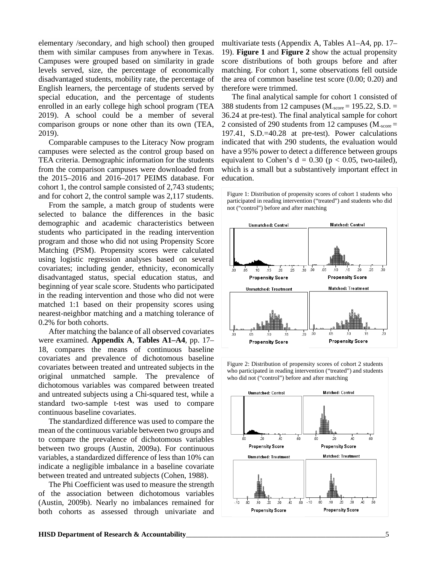elementary /secondary, and high school) then grouped them with similar campuses from anywhere in Texas. Campuses were grouped based on similarity in grade levels served, size, the percentage of economically disadvantaged students, mobility rate, the percentage of English learners, the percentage of students served by special education, and the percentage of students enrolled in an early college high school program (TEA 2019). A school could be a member of several comparison groups or none other than its own (TEA, 2019).

Comparable campuses to the Literacy Now program campuses were selected as the control group based on TEA criteria. Demographic information for the students from the comparison campuses were downloaded from the 2015–2016 and 2016–2017 PEIMS database. For cohort 1, the control sample consisted of 2,743 students; and for cohort 2, the control sample was 2,117 students.

From the sample, a match group of students were selected to balance the differences in the basic demographic and academic characteristics between students who participated in the reading intervention program and those who did not using Propensity Score Matching (PSM). Propensity scores were calculated using logistic regression analyses based on several covariates; including gender, ethnicity, economically disadvantaged status, special education status, and beginning of year scale score. Students who participated in the reading intervention and those who did not were matched 1:1 based on their propensity scores using nearest-neighbor matching and a matching tolerance of 0.2% for both cohorts.

After matching the balance of all observed covariates were examined. **Appendix A**, **Tables A1–A4**, pp. 17– 18, compares the means of continuous baseline covariates and prevalence of dichotomous baseline covariates between treated and untreated subjects in the original unmatched sample. The prevalence of dichotomous variables was compared between treated and untreated subjects using a Chi-squared test, while a standard two-sample t-test was used to compare continuous baseline covariates.

The standardized difference was used to compare the mean of the continuous variable between two groups and to compare the prevalence of dichotomous variables between two groups (Austin, 2009a). For continuous variables, a standardized difference of less than 10% can indicate a negligible imbalance in a baseline covariate between treated and untreated subjects (Cohen, 1988).

The Phi Coefficient was used to measure the strength of the association between dichotomous variables (Austin, 2009b). Nearly no imbalances remained for both cohorts as assessed through univariate and multivariate tests (Appendix A, Tables A1–A4, pp. 17– 19). **Figure 1** and **Figure 2** show the actual propensity score distributions of both groups before and after matching. For cohort 1, some observations fell outside the area of common baseline test score (0.00; 0.20) and therefore were trimmed.

The final analytical sample for cohort 1 consisted of 388 students from 12 campuses  $(M<sub>score</sub> = 195.22, S.D. =$ 36.24 at pre-test). The final analytical sample for cohort 2 consisted of 290 students from 12 campuses ( $M_{\text{score}} =$ 197.41, S.D.=40.28 at pre-test). Power calculations indicated that with 290 students, the evaluation would have a 95% power to detect a difference between groups equivalent to Cohen's  $d = 0.30$  ( $p < 0.05$ , two-tailed), which is a small but a substantively important effect in education.





Figure 2: Distribution of propensity scores of cohort 2 students who participated in reading intervention ("treated") and students who did not ("control") before and after matching

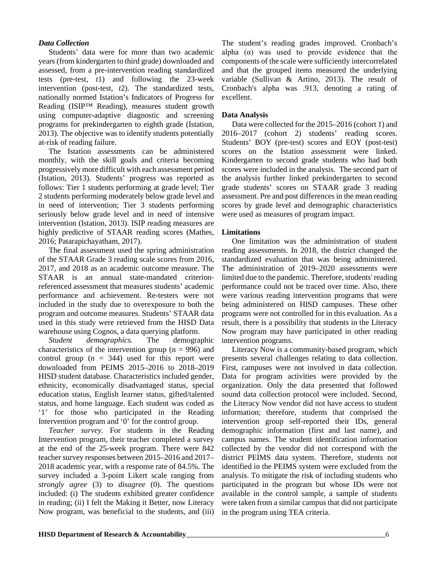#### *Data Collection*

Students' data were for more than two academic years (from kindergarten to third grade) downloaded and assessed, from a pre-intervention reading standardized tests (pre-test, *t*1) and following the 23-week intervention (post-test, *t*2). The standardized tests, nationally normed Istation's Indicators of Progress for Reading (ISIP™ Reading), measures student growth using computer-adaptive diagnostic and screening programs for prekindergarten to eighth grade (Istation, 2013). The objective was to identify students potentially at-risk of reading failure.

The Istation assessments can be administered monthly, with the skill goals and criteria becoming progressively more difficult with each assessment period (Istation, 2013). Students' progress was reported as follows: Tier 1 students performing at grade level; Tier 2 students performing moderately below grade level and in need of intervention; Tier 3 students performing seriously below grade level and in need of intensive intervention (Istation, 2013). ISIP reading measures are highly predictive of STAAR reading scores (Mathes, 2016; Patarapichayatham, 2017).

The final assessment used the spring administration of the STAAR Grade 3 reading scale scores from 2016, 2017, and 2018 as an academic outcome measure. The STAAR is an annual state-mandated criterionreferenced assessment that measures students' academic performance and achievement. Re-testers were not included in the study due to overexposure to both the program and outcome measures. Students' STAAR data used in this study were retrieved from the HISD Data warehouse using Cognos, a data querying platform.

*Student demographics.* The demographic characteristics of the intervention group ( $n = 996$ ) and control group  $(n = 344)$  used for this report were downloaded from PEIMS 2015–2016 to 2018–2019 HISD student database. Characteristics included gender, ethnicity, economically disadvantaged status, special education status, English learner status, gifted/talented status, and home language. Each student was coded as '1' for those who participated in the Reading Intervention program and '0' for the control group.

*Teacher survey.* For students in the Reading Intervention program, their teacher completed a survey at the end of the 25-week program. There were 842 teacher survey responses between 2015–2016 and 2017– 2018 academic year, with a response rate of 84.5%. The survey included a 3-point Likert scale ranging from *strongly agree* (3) to *disagree* (0). The questions included: (i) The students exhibited greater confidence in reading; (ii) I felt the Making it Better, now Literacy Now program, was beneficial to the students, and (iii)

The student's reading grades improved. Cronbach's alpha  $(\alpha)$  was used to provide evidence that the components of the scale were sufficiently intercorrelated and that the grouped items measured the underlying variable (Sullivan & Artino, 2013). The result of Cronbach's alpha was .913, denoting a rating of excellent.

#### **Data Analysis**

Data were collected for the 2015–2016 (cohort 1) and 2016–2017 (cohort 2) students' reading scores. Students' BOY (pre-test) scores and EOY (post-test) scores on the Istation assessment were linked. Kindergarten to second grade students who had both scores were included in the analysis. The second part of the analysis further linked prekindergarten to second grade students' scores on STAAR grade 3 reading assessment. Pre and post differences in the mean reading scores by grade level and demographic characteristics were used as measures of program impact.

#### **Limitations**

One limitation was the administration of student reading assessments. In 2018, the district changed the standardized evaluation that was being administered. The administration of 2019–2020 assessments were limited due to the pandemic. Therefore, students' reading performance could not be traced over time. Also, there were various reading intervention programs that were being administered on HISD campuses. These other programs were not controlled for in this evaluation. As a result, there is a possibility that students in the Literacy Now program may have participated in other reading intervention programs.

Literacy Now is a community-based program, which presents several challenges relating to data collection. First, campuses were not involved in data collection. Data for program activities were provided by the organization. Only the data presented that followed sound data collection protocol were included. Second, the Literacy Now vendor did not have access to student information; therefore, students that comprised the intervention group self-reported their IDs, general demographic information (first and last name), and campus names. The student identification information collected by the vendor did not correspond with the district PEIMS data system. Therefore, students not identified in the PEIMS system were excluded from the analysis. To mitigate the risk of including students who participated in the program but whose IDs were not available in the control sample, a sample of students were taken from a similar campus that did not participate in the program using TEA criteria.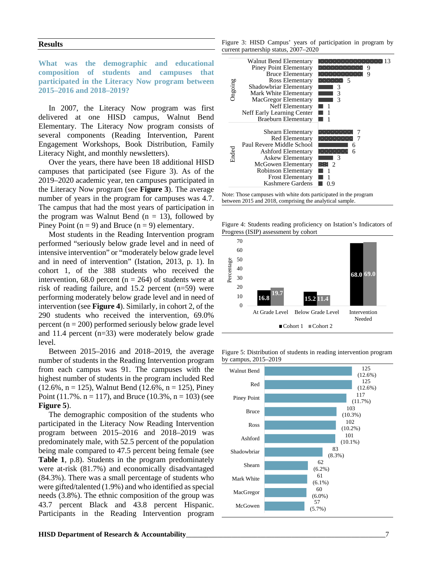#### **Results**

**What was the demographic and educational composition of students and campuses that participated in the Literacy Now program between 2015–2016 and 2018–2019?**

In 2007, the Literacy Now program was first delivered at one HISD campus, Walnut Bend Elementary. The Literacy Now program consists of several components (Reading Intervention, Parent Engagement Workshops, Book Distribution, Family Literacy Night, and monthly newsletters).

Over the years, there have been 18 additional HISD campuses that participated (see Figure 3). As of the 2019–2020 academic year, ten campuses participated in the Literacy Now program (see **Figure 3**). The average number of years in the program for campuses was 4.7. The campus that had the most years of participation in the program was Walnut Bend ( $n = 13$ ), followed by Piney Point ( $n = 9$ ) and Bruce ( $n = 9$ ) elementary.

Most students in the Reading Intervention program performed "seriously below grade level and in need of intensive intervention" or "moderately below grade level and in need of intervention" (Istation, 2013, p. 1). In cohort 1, of the 388 students who received the intervention, 68.0 percent ( $n = 264$ ) of students were at risk of reading failure, and 15.2 percent (n=59) were performing moderately below grade level and in need of intervention (see **Figure 4**). Similarly, in cohort 2, of the 290 students who received the intervention, 69.0% percent ( $n = 200$ ) performed seriously below grade level and 11.4 percent (n=33) were moderately below grade level.

Between 2015–2016 and 2018–2019, the average number of students in the Reading Intervention program from each campus was 91. The campuses with the highest number of students in the program included Red  $(12.6\%, n = 125)$ , Walnut Bend  $(12.6\%, n = 125)$ , Piney Point (11.7%.  $n = 117$ ), and Bruce (10.3%,  $n = 103$ ) (see **Figure 5**).

The demographic composition of the students who participated in the Literacy Now Reading Intervention program between 2015–2016 and 2018–2019 was predominately male, with 52.5 percent of the population being male compared to 47.5 percent being female (see **Table 1**, p.8). Students in the program predominately were at-risk (81.7%) and economically disadvantaged (84.3%). There was a small percentage of students who were gifted/talented (1.9%) and who identified as special needs (3.8%). The ethnic composition of the group was 43.7 percent Black and 43.8 percent Hispanic. Participants in the Reading Intervention program

Figure 3: HISD Campus' years of participation in program by current partnership status, 2007–2020





Figure 4: Students reading proficiency on Istation's Indicators of Progress (ISIP) assessment by cohort





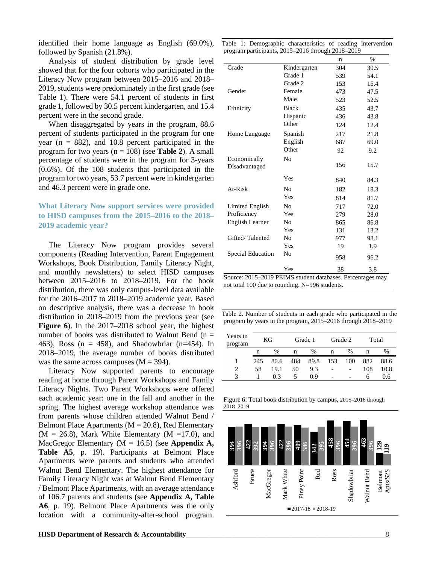identified their home language as English (69.0%), followed by Spanish (21.8%).

Analysis of student distribution by grade level showed that for the four cohorts who participated in the Literacy Now program between 2015–2016 and 2018– 2019, students were predominately in the first grade (see Table 1). There were 54.1 percent of students in first grade 1, followed by 30.5 percent kindergarten, and 15.4 percent were in the second grade.

When disaggregated by years in the program, 88.6 percent of students participated in the program for one year ( $n = 882$ ), and 10.8 percent participated in the program for two years (n = 108) (see **Table 2**). A small percentage of students were in the program for 3-years (0.6%). Of the 108 students that participated in the program for two years, 53.7 percent were in kindergarten and 46.3 percent were in grade one.

#### **What Literacy Now support services were provided to HISD campuses from the 2015–2016 to the 2018– 2019 academic year?**

The Literacy Now program provides several components (Reading Intervention, Parent Engagement Workshops, Book Distribution, Family Literacy Night, and monthly newsletters) to select HISD campuses between 2015–2016 to 2018–2019. For the book distribution, there was only campus-level data available for the 2016–2017 to 2018–2019 academic year. Based on descriptive analysis, there was a decrease in book distribution in 2018–2019 from the previous year (see **Figure 6**). In the 2017–2018 school year, the highest number of books was distributed to Walnut Bend ( $n =$ 463), Ross ( $n = 458$ ), and Shadowbriar ( $n=454$ ). In 2018–2019, the average number of books distributed was the same across campuses  $(M = 394)$ .

Literacy Now supported parents to encourage reading at home through Parent Workshops and Family Literacy Nights. Two Parent Workshops were offered each academic year: one in the fall and another in the spring. The highest average workshop attendance was from parents whose children attended Walnut Bend / Belmont Place Apartments ( $M = 20.8$ ), Red Elementary  $(M = 26.8)$ , Mark White Elementary  $(M = 17.0)$ , and MacGregor Elementary (M = 16.5) (see **Appendix A, Table A5**, p. 19). Participants at Belmont Place Apartments were parents and students who attended Walnut Bend Elementary. The highest attendance for Family Literacy Night was at Walnut Bend Elementary / Belmont Place Apartments, with an average attendance of 106.7 parents and students (see **Appendix A, Table A6**, p. 19). Belmont Place Apartments was the only location with a community-after-school program.

|           | Table 1: Demographic characteristics of reading intervention<br>program participants, 2015-2016 through 2018-2019 |     |      |
|-----------|-------------------------------------------------------------------------------------------------------------------|-----|------|
|           |                                                                                                                   | n   | %    |
| Grade     | Kindergarten                                                                                                      | 304 | 30.5 |
|           | Grade 1                                                                                                           | 539 | 54.1 |
|           | Grade 2                                                                                                           | 153 | 15.4 |
| Gender    | Female                                                                                                            | 473 | 47.5 |
|           | Male                                                                                                              | 523 | 52.5 |
| Ethnicity | Black                                                                                                             | 435 | 43.7 |
|           | $TT_{\text{max}}$                                                                                                 | 10< | 120  |

|                          | Male               | 523 | 52.5 |
|--------------------------|--------------------|-----|------|
| Ethnicity                | <b>Black</b>       | 435 | 43.7 |
|                          | Hispanic           | 436 | 43.8 |
|                          | Other              | 124 | 12.4 |
| Home Language            | Spanish            | 217 | 21.8 |
|                          | English            | 687 | 69.0 |
|                          | Other              | 92  | 9.2  |
| Economically             | No                 |     |      |
| Disadvantaged            |                    | 156 | 15.7 |
|                          | Yes                | 840 | 84.3 |
| At-Risk                  | No                 | 182 | 18.3 |
|                          | Yes                | 814 | 81.7 |
| Limited English          | No                 | 717 | 72.0 |
| Proficiency              | Yes                | 279 | 28.0 |
| English Learner          | No                 | 865 | 86.8 |
|                          | Yes                | 131 | 13.2 |
| Gifted/Talented          | No                 | 977 | 98.1 |
|                          | Yes                | 19  | 1.9  |
| <b>Special Education</b> | No                 | 958 | 96.2 |
|                          | Yes                | 38  | 3.8  |
| $0.015$ $0.010$ DDB $10$ | х.<br>$\mathbf{r}$ | -   |      |

Source: 2015–2019 PEIMS student databases. Percentages may not total 100 due to rounding. N=996 students.

Table 2. Number of students in each grade who participated in the program by years in the program, 2015–2016 through 2018–2019

| Years in<br>program | KG  |      | Grade 1 |      | Grade 2 |      | Total |      |
|---------------------|-----|------|---------|------|---------|------|-------|------|
|                     | n   | $\%$ | n       | $\%$ | n       | $\%$ | n     | $\%$ |
|                     | 245 | 80.6 | 484     | 89.8 | 153     | 100  | 882   | 88.6 |
| 2                   | 58  | 19.1 | 50      | 9.3  |         |      | 108   | 10.8 |
|                     |     | 03   | 5       | 0.9  |         |      | h     | 0.6  |

Figure 6: Total book distribution by campus, 2015–2016 through 2018–2019

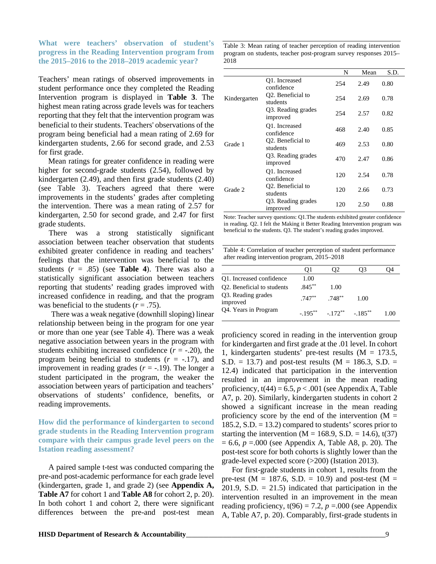#### **What were teachers' observation of student's progress in the Reading Intervention program from the 2015–2016 to the 2018–2019 academic year?**

Teachers' mean ratings of observed improvements in student performance once they completed the Reading Intervention program is displayed in **Table 3**. The highest mean rating across grade levels was for teachers reporting that they felt that the intervention program was beneficial to their students. Teachers' observations of the program being beneficial had a mean rating of 2.69 for kindergarten students, 2.66 for second grade, and 2.53 for first grade.

 Mean ratings for greater confidence in reading were higher for second-grade students (2.54), followed by kindergarten (2.49), and then first grade students (2.40) (see Table 3). Teachers agreed that there were improvements in the students' grades after completing the intervention. There was a mean rating of 2.57 for kindergarten, 2.50 for second grade, and 2.47 for first grade students.

There was a strong statistically significant association between teacher observation that students exhibited greater confidence in reading and teachers' feelings that the intervention was beneficial to the students  $(r = .85)$  (see **Table 4**). There was also a statistically significant association between teachers reporting that students' reading grades improved with increased confidence in reading, and that the program was beneficial to the students  $(r = .75)$ .

There was a weak negative (downhill sloping) linear relationship between being in the program for one year or more than one year (see Table 4). There was a weak negative association between years in the program with students exhibiting increased confidence  $(r = -.20)$ , the program being beneficial to students  $(r = -17)$ , and improvement in reading grades  $(r = -.19)$ . The longer a student participated in the program, the weaker the association between years of participation and teachers' observations of students' confidence, benefits, or reading improvements.

#### **How did the performance of kindergarten to second grade students in the Reading Intervention program compare with their campus grade level peers on the Istation reading assessment?**

A paired sample t-test was conducted comparing the pre-and post-academic performance for each grade level (kindergarten, grade 1, and grade 2) (see **Appendix A, Table A7** for cohort 1 and **Table A8** for cohort 2, p. 20). In both cohort 1 and cohort 2, there were significant differences between the pre-and post-test mean

Table 3: Mean rating of teacher perception of reading intervention program on students, teacher post-program survey responses 2015– 2018

|              |                                            | N   | Mean | S.D. |
|--------------|--------------------------------------------|-----|------|------|
| Kindergarten | Q1. Increased<br>confidence                | 254 | 2.49 | 0.80 |
|              | Q2. Beneficial to<br>students              | 254 | 2.69 | 0.78 |
|              | Q3. Reading grades<br>improved             | 254 | 2.57 | 0.82 |
|              | Q1. Increased<br>confidence                | 468 | 2.40 | 0.85 |
| Grade 1      | Q2. Beneficial to<br>students              | 469 | 2.53 | 0.80 |
|              | Q3. Reading grades<br>improved             | 470 | 2.47 | 0.86 |
|              | O1. Increased<br>confidence                | 120 | 2.54 | 0.78 |
| Grade 2      | O <sub>2</sub> . Beneficial to<br>students | 120 | 2.66 | 0.73 |
|              | Q3. Reading grades<br>improved             | 120 | 2.50 | 0.88 |

Note: Teacher survey questions: Q1.The students exhibited greater confidence in reading. Q2. I felt the Making it Better Reading Intervention program was beneficial to the students. Q3. The student's reading grades improved.

| Table 4: Correlation of teacher perception of student performance |
|-------------------------------------------------------------------|
| after reading intervention program, 2015–2018                     |

|                                | Ol        | 92                                  | U3   |      |
|--------------------------------|-----------|-------------------------------------|------|------|
| O1. Increased confidence       | 1.00      |                                     |      |      |
| Q2. Beneficial to students     | $.845***$ | 1.00                                |      |      |
| Q3. Reading grades<br>improved | $.747***$ | $.748***$                           | 1.00 |      |
| Q4. Years in Program           |           | $-195^{**}$ $-172^{**}$ $-185^{**}$ |      | 1.00 |

proficiency scored in reading in the intervention group for kindergarten and first grade at the .01 level. In cohort 1, kindergarten students' pre-test results ( $M = 173.5$ ,  $S.D. = 13.7$  and post-test results (M = 186.3, S.D. = 12.4) indicated that participation in the intervention resulted in an improvement in the mean reading proficiency,  $t(44) = 6.5$ ,  $p < .001$  (see Appendix A, Table A7, p. 20). Similarly, kindergarten students in cohort 2 showed a significant increase in the mean reading proficiency score by the end of the intervention  $(M =$  $185.2$ , S.D.  $= 13.2$ ) compared to students' scores prior to starting the intervention ( $M = 168.9$ , S.D. = 14.6), t(37)  $= 6.6, p = 0.00$  (see Appendix A, Table A8, p. 20). The post-test score for both cohorts is slightly lower than the grade-level expected score (>200) (Istation 2013).

For first-grade students in cohort 1, results from the pre-test ( $M = 187.6$ , S.D. = 10.9) and post-test ( $M =$ 201.9, S.D.  $= 21.5$ ) indicated that participation in the intervention resulted in an improvement in the mean reading proficiency,  $t(96) = 7.2$ ,  $p = .000$  (see Appendix A, Table A7, p. 20). Comparably, first-grade students in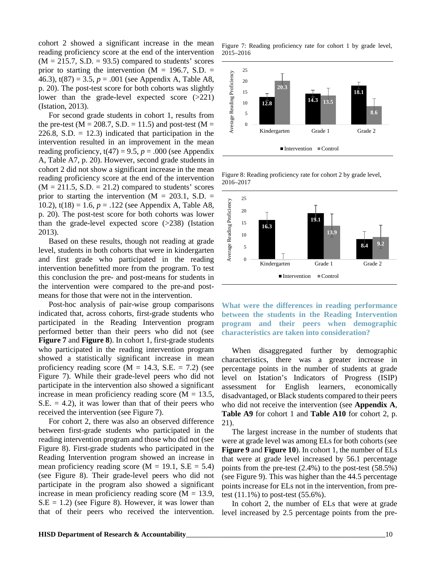cohort 2 showed a significant increase in the mean reading proficiency score at the end of the intervention  $(M = 215.7, S.D. = 93.5)$  compared to students' scores prior to starting the intervention ( $M = 196.7$ , S.D. = 46.3),  $t(87) = 3.5$ ,  $p = .001$  (see Appendix A, Table A8, p. 20). The post-test score for both cohorts was slightly lower than the grade-level expected score (>221) (Istation, 2013).

For second grade students in cohort 1, results from the pre-test ( $M = 208.7$ , S.D. = 11.5) and post-test ( $M =$ 226.8, S.D.  $= 12.3$ ) indicated that participation in the intervention resulted in an improvement in the mean reading proficiency,  $t(47) = 9.5$ ,  $p = .000$  (see Appendix A, Table A7, p. 20). However, second grade students in cohort 2 did not show a significant increase in the mean reading proficiency score at the end of the intervention  $(M = 211.5, S.D. = 21.2)$  compared to students' scores prior to starting the intervention ( $M = 203.1$ , S.D. = 10.2), t(18) = 1.6, *p* = .122 (see Appendix A, Table A8, p. 20). The post-test score for both cohorts was lower than the grade-level expected score  $(>238)$  (Istation 2013).

Based on these results, though not reading at grade level, students in both cohorts that were in kindergarten and first grade who participated in the reading intervention benefitted more from the program. To test this conclusion the pre- and post-means for students in the intervention were compared to the pre-and postmeans for those that were not in the intervention.

Post-hoc analysis of pair-wise group comparisons indicated that, across cohorts, first-grade students who participated in the Reading Intervention program performed better than their peers who did not (see **Figure 7** and **Figure 8**). In cohort 1, first-grade students who participated in the reading intervention program showed a statistically significant increase in mean proficiency reading score ( $M = 14.3$ , S.E. = 7.2) (see Figure 7). While their grade-level peers who did not participate in the intervention also showed a significant increase in mean proficiency reading score ( $M = 13.5$ ,  $S.E. = 4.2$ ), it was lower than that of their peers who received the intervention (see Figure 7).

For cohort 2, there was also an observed difference between first-grade students who participated in the reading intervention program and those who did not (see Figure 8). First-grade students who participated in the Reading Intervention program showed an increase in mean proficiency reading score ( $M = 19.1$ , S.E = 5.4) (see Figure 8). Their grade-level peers who did not participate in the program also showed a significant increase in mean proficiency reading score ( $M = 13.9$ ,  $S.E = 1.2$ ) (see Figure 8). However, it was lower than that of their peers who received the intervention.

Figure 7: Reading proficiency rate for cohort 1 by grade level, 2015–2016



Figure 8: Reading proficiency rate for cohort 2 by grade level, 2016–2017



**What were the differences in reading performance between the students in the Reading Intervention program and their peers when demographic characteristics are taken into consideration?** 

When disaggregated further by demographic characteristics, there was a greater increase in percentage points in the number of students at grade level on Istation's Indicators of Progress (ISIP) assessment for English learners, economically disadvantaged, or Black students compared to their peers who did not receive the intervention (see **Appendix A**, **Table A9** for cohort 1 and **Table A10** for cohort 2, p. 21).

The largest increase in the number of students that were at grade level was among ELs for both cohorts (see **Figure 9** and **Figure 10**). In cohort 1, the number of ELs that were at grade level increased by 56.1 percentage points from the pre-test (2.4%) to the post-test (58.5%) (see Figure 9). This was higher than the 44.5 percentage points increase for ELs not in the intervention, from pretest  $(11.1\%)$  to post-test  $(55.6\%).$ 

In cohort 2, the number of ELs that were at grade level increased by 2.5 percentage points from the pre-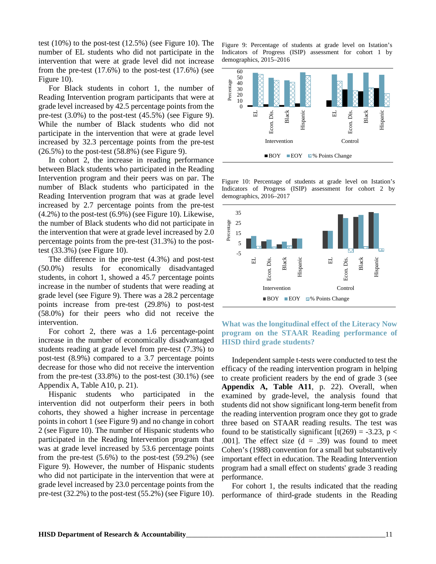test (10%) to the post-test (12.5%) (see Figure 10). The number of EL students who did not participate in the intervention that were at grade level did not increase from the pre-test  $(17.6%)$  to the post-test  $(17.6%)$  (see Figure 10).

For Black students in cohort 1, the number of Reading Intervention program participants that were at grade level increased by 42.5 percentage points from the pre-test (3.0%) to the post-test (45.5%) (see Figure 9). While the number of Black students who did not participate in the intervention that were at grade level increased by 32.3 percentage points from the pre-test  $(26.5\%)$  to the post-test  $(58.8\%)$  (see Figure 9).

In cohort 2, the increase in reading performance between Black students who participated in the Reading Intervention program and their peers was on par. The number of Black students who participated in the Reading Intervention program that was at grade level increased by 2.7 percentage points from the pre-test (4.2%) to the post-test (6.9%) (see Figure 10). Likewise, the number of Black students who did not participate in the intervention that were at grade level increased by 2.0 percentage points from the pre-test (31.3%) to the posttest (33.3%) (see Figure 10).

The difference in the pre-test (4.3%) and post-test (50.0%) results for economically disadvantaged students, in cohort 1, showed a 45.7 percentage points increase in the number of students that were reading at grade level (see Figure 9). There was a 28.2 percentage points increase from pre-test (29.8%) to post-test (58.0%) for their peers who did not receive the intervention.

For cohort 2, there was a 1.6 percentage-point increase in the number of economically disadvantaged students reading at grade level from pre-test (7.3%) to post-test (8.9%) compared to a 3.7 percentage points decrease for those who did not receive the intervention from the pre-test  $(33.8\%)$  to the post-test  $(30.1\%)$  (see Appendix A, Table A10, p. 21).

Hispanic students who participated in the intervention did not outperform their peers in both cohorts, they showed a higher increase in percentage points in cohort 1 (see Figure 9) and no change in cohort 2 (see Figure 10). The number of Hispanic students who participated in the Reading Intervention program that was at grade level increased by 53.6 percentage points from the pre-test  $(5.6\%)$  to the post-test  $(59.2\%)$  (see Figure 9). However, the number of Hispanic students who did not participate in the intervention that were at grade level increased by 23.0 percentage points from the pre-test (32.2%) to the post-test (55.2%) (see Figure 10).

Figure 9: Percentage of students at grade level on Istation's Indicators of Progress (ISIP) assessment for cohort 1 by demographics, 2015–2016



Figure 10: Percentage of students at grade level on Istation's Indicators of Progress (ISIP) assessment for cohort 2 by demographics, 2016–2017



#### **What was the longitudinal effect of the Literacy Now program on the STAAR Reading performance of HISD third grade students?**

Independent sample t-tests were conducted to test the efficacy of the reading intervention program in helping to create proficient readers by the end of grade 3 (see **Appendix A, Table A11**, p. 22). Overall, when examined by grade-level, the analysis found that students did not show significant long-term benefit from the reading intervention program once they got to grade three based on STAAR reading results. The test was found to be statistically significant  $[t(269) = -3.23, p <$ .001]. The effect size  $(d = .39)$  was found to meet Cohen's (1988) convention for a small but substantively important effect in education. The Reading Intervention program had a small effect on students' grade 3 reading performance.

For cohort 1, the results indicated that the reading performance of third-grade students in the Reading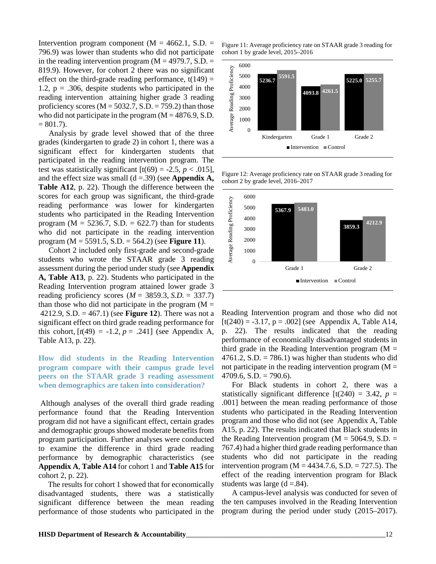Intervention program component ( $M = 4662.1$ , S.D. = 796.9) was lower than students who did not participate in the reading intervention program ( $M = 4979.7$ , S.D.  $=$ 819.9). However, for cohort 2 there was no significant effect on the third-grade reading performance,  $t(149) =$ 1.2,  $p = .306$ , despite students who participated in the reading intervention attaining higher grade 3 reading proficiency scores ( $M = 5032.7$ , S.D. = 759.2) than those who did not participate in the program  $(M = 4876.9, S.D.$  $= 801.7$ ).

Analysis by grade level showed that of the three grades (kindergarten to grade 2) in cohort 1, there was a significant effect for kindergarten students that participated in the reading intervention program. The test was statistically significant  $[t(69) = -2.5, p < .015]$ , and the effect size was small  $(d = .39)$  (see **Appendix A**, **Table A12**, p. 22). Though the difference between the scores for each group was significant, the third-grade reading performance was lower for kindergarten students who participated in the Reading Intervention program ( $M = 5236.7$ , S.D. = 622.7) than for students who did not participate in the reading intervention program (M = 5591.5, S.D. = 564.2) (see **Figure 11**).

Cohort 2 included only first-grade and second-grade students who wrote the STAAR grade 3 reading assessment during the period under study (see **Appendix A, Table A13**, p. 22). Students who participated in the Reading Intervention program attained lower grade 3 reading proficiency scores (*M* = 3859.3, *S.D.* = 337.7) than those who did not participate in the program  $(M =$ 4212.9, S.D. = 467.1) (see **Figure 12**). There was not a significant effect on third grade reading performance for this cohort,  $[t(49) = -1.2, p = .241]$  (see Appendix A, Table A13, p. 22).

**How did students in the Reading Intervention program compare with their campus grade level peers on the STAAR grade 3 reading assessment when demographics are taken into consideration?**

Although analyses of the overall third grade reading performance found that the Reading Intervention program did not have a significant effect, certain grades and demographic groups showed moderate benefits from program participation. Further analyses were conducted to examine the difference in third grade reading performance by demographic characteristics (see **Appendix A**, **Table A14** for cohort 1 and **Table A15** for cohort 2, p. 22).

The results for cohort 1 showed that for economically disadvantaged students, there was a statistically significant difference between the mean reading performance of those students who participated in the

Figure 11: Average proficiency rate on STAAR grade 3 reading for cohort 1 by grade level, 2015–2016



Figure 12: Average proficiency rate on STAAR grade 3 reading for cohort 2 by grade level, 2016–2017



Reading Intervention program and those who did not  $[t(240) = -3.17, p = .002]$  (see Appendix A, Table A14, p. 22). The results indicated that the reading performance of economically disadvantaged students in third grade in the Reading Intervention program  $(M =$ 4761.2, S.D.  $= 786.1$ ) was higher than students who did not participate in the reading intervention program  $(M =$  $4709.6$ , S.D.  $= 790.6$ ).

For Black students in cohort 2, there was a statistically significant difference  $[t(240) = 3.42, p =$ .001] between the mean reading performance of those students who participated in the Reading Intervention program and those who did not (see Appendix A, Table A15, p. 22). The results indicated that Black students in the Reading Intervention program ( $M = 5064.9$ , S.D. = 767.4) had a higher third grade reading performance than students who did not participate in the reading intervention program ( $M = 4434.7.6$ , S.D. = 727.5). The effect of the reading intervention program for Black students was large  $(d = .84)$ .

A campus-level analysis was conducted for seven of the ten campuses involved in the Reading Intervention program during the period under study (2015–2017).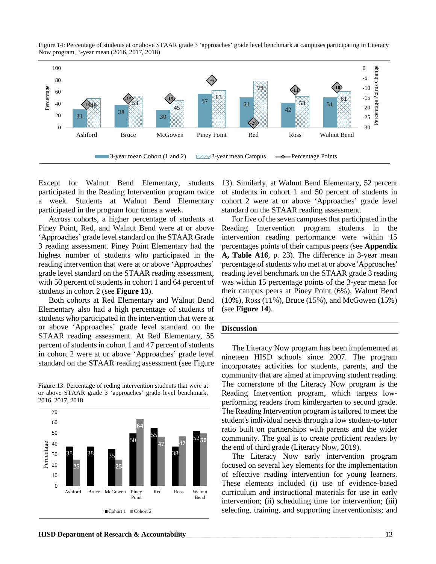



Except for Walnut Bend Elementary, students participated in the Reading Intervention program twice a week. Students at Walnut Bend Elementary participated in the program four times a week.

Across cohorts, a higher percentage of students at Piney Point, Red, and Walnut Bend were at or above 'Approaches' grade level standard on the STAAR Grade 3 reading assessment. Piney Point Elementary had the highest number of students who participated in the reading intervention that were at or above 'Approaches' grade level standard on the STAAR reading assessment, with 50 percent of students in cohort 1 and 64 percent of students in cohort 2 (see **Figure 13**).

Both cohorts at Red Elementary and Walnut Bend Elementary also had a high percentage of students of students who participated in the intervention that were at or above 'Approaches' grade level standard on the STAAR reading assessment. At Red Elementary, 55 percent of students in cohort 1 and 47 percent of students in cohort 2 were at or above 'Approaches' grade level standard on the STAAR reading assessment (see Figure

Figure 13: Percentage of reding intervention students that were at or above STAAR grade 3 'approaches' grade level benchmark, 2016, 2017, 2018



13). Similarly, at Walnut Bend Elementary, 52 percent of students in cohort 1 and 50 percent of students in cohort 2 were at or above 'Approaches' grade level standard on the STAAR reading assessment.

For five of the seven campuses that participated in the Reading Intervention program students in the intervention reading performance were within 15 percentages points of their campus peers (see **Appendix A, Table A16**, p. 23). The difference in 3-year mean percentage of students who met at or above 'Approaches' reading level benchmark on the STAAR grade 3 reading was within 15 percentage points of the 3-year mean for their campus peers at Piney Point (6%), Walnut Bend (10%), Ross (11%), Bruce (15%), and McGowen (15%) (see **Figure 14**).

#### **Discussion**

The Literacy Now program has been implemented at nineteen HISD schools since 2007. The program incorporates activities for students, parents, and the community that are aimed at improving student reading. The cornerstone of the Literacy Now program is the Reading Intervention program, which targets lowperforming readers from kindergarten to second grade. The Reading Intervention program is tailored to meet the student's individual needs through a low student-to-tutor ratio built on partnerships with parents and the wider community. The goal is to create proficient readers by the end of third grade (Literacy Now, 2019).

The Literacy Now early intervention program focused on several key elements for the implementation of effective reading intervention for young learners. These elements included (i) use of evidence-based curriculum and instructional materials for use in early intervention; (ii) scheduling time for intervention; (iii) selecting, training, and supporting interventionists; and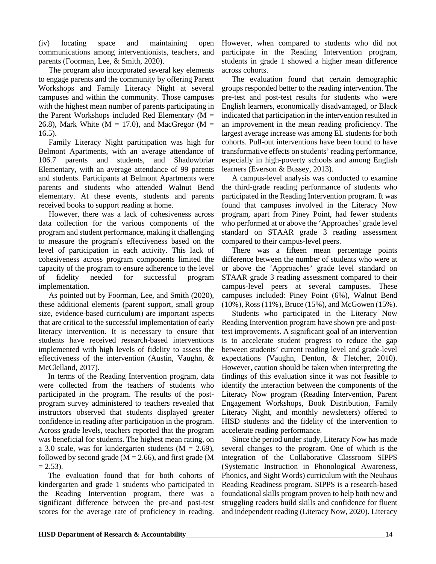(iv) locating space and maintaining open communications among interventionists, teachers, and parents (Foorman, Lee, & Smith, 2020).

The program also incorporated several key elements to engage parents and the community by offering Parent Workshops and Family Literacy Night at several campuses and within the community. Those campuses with the highest mean number of parents participating in the Parent Workshops included Red Elementary ( $M =$ 26.8), Mark White ( $M = 17.0$ ), and MacGregor ( $M = 17.0$ ) 16.5).

Family Literacy Night participation was high for Belmont Apartments, with an average attendance of 106.7 parents and students, and Shadowbriar Elementary, with an average attendance of 99 parents and students. Participants at Belmont Apartments were parents and students who attended Walnut Bend elementary. At these events, students and parents received books to support reading at home.

However, there was a lack of cohesiveness across data collection for the various components of the program and student performance, making it challenging to measure the program's effectiveness based on the level of participation in each activity. This lack of cohesiveness across program components limited the capacity of the program to ensure adherence to the level of fidelity needed for successful program implementation.

As pointed out by Foorman, Lee, and Smith (2020), these additional elements (parent support, small group size, evidence-based curriculum) are important aspects that are critical to the successful implementation of early literacy intervention. It is necessary to ensure that students have received research-based interventions implemented with high levels of fidelity to assess the effectiveness of the intervention (Austin, Vaughn, & McClelland, 2017).

In terms of the Reading Intervention program, data were collected from the teachers of students who participated in the program. The results of the postprogram survey administered to teachers revealed that instructors observed that students displayed greater confidence in reading after participation in the program. Across grade levels, teachers reported that the program was beneficial for students. The highest mean rating, on a 3.0 scale, was for kindergarten students ( $M = 2.69$ ), followed by second grade ( $M = 2.66$ ), and first grade (M  $= 2.53$ ).

The evaluation found that for both cohorts of kindergarten and grade 1 students who participated in the Reading Intervention program, there was a significant difference between the pre-and post-test scores for the average rate of proficiency in reading.

However, when compared to students who did not participate in the Reading Intervention program, students in grade 1 showed a higher mean difference across cohorts.

The evaluation found that certain demographic groups responded better to the reading intervention. The pre-test and post-test results for students who were English learners, economically disadvantaged, or Black indicated that participation in the intervention resulted in an improvement in the mean reading proficiency. The largest average increase was among EL students for both cohorts. Pull-out interventions have been found to have transformative effects on students' reading performance, especially in high-poverty schools and among English learners (Everson & Bussey, 2013).

A campus-level analysis was conducted to examine the third-grade reading performance of students who participated in the Reading Intervention program. It was found that campuses involved in the Literacy Now program, apart from Piney Point, had fewer students who performed at or above the 'Approaches' grade level standard on STAAR grade 3 reading assessment compared to their campus-level peers.

There was a fifteen mean percentage points difference between the number of students who were at or above the 'Approaches' grade level standard on STAAR grade 3 reading assessment compared to their campus-level peers at several campuses. These campuses included: Piney Point (6%), Walnut Bend (10%), Ross (11%), Bruce (15%), and McGowen (15%).

Students who participated in the Literacy Now Reading Intervention program have shown pre-and posttest improvements. A significant goal of an intervention is to accelerate student progress to reduce the gap between students' current reading level and grade-level expectations (Vaughn, Denton, & Fletcher, 2010). However, caution should be taken when interpreting the findings of this evaluation since it was not feasible to identify the interaction between the components of the Literacy Now program (Reading Intervention, Parent Engagement Workshops, Book Distribution, Family Literacy Night, and monthly newsletters) offered to HISD students and the fidelity of the intervention to accelerate reading performance.

Since the period under study, Literacy Now has made several changes to the program. One of which is the integration of the Collaborative Classroom SIPPS (Systematic Instruction in Phonological Awareness, Phonics, and Sight Words) curriculum with the Neuhaus Reading Readiness program. SIPPS is a research-based foundational skills program proven to help both new and struggling readers build skills and confidence for fluent and independent reading (Literacy Now, 2020). Literacy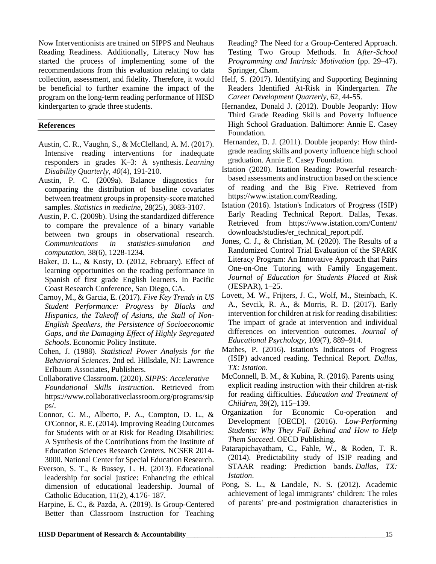Now Interventionists are trained on SIPPS and Neuhaus Reading Readiness. Additionally, Literacy Now has started the process of implementing some of the recommendations from this evaluation relating to data collection, assessment, and fidelity. Therefore, it would be beneficial to further examine the impact of the program on the long-term reading performance of HISD kindergarten to grade three students.

#### **References**

- Austin, C. R., Vaughn, S., & McClelland, A. M. (2017). Intensive reading interventions for inadequate responders in grades K–3: A synthesis. *Learning Disability Quarterly*, *40*(4), 191-210.
- Austin, P. C. (2009a). Balance diagnostics for comparing the distribution of baseline covariates between treatment groups in propensity‐score matched samples. *Statistics in medicine*, 28(25), 3083-3107.
- Austin, P. C. (2009b). Using the standardized difference to compare the prevalence of a binary variable between two groups in observational research. *Communications in statistics-simulation and computation*, 38(6), 1228-1234.
- Baker, D. L., & Kosty, D. (2012, February). Effect of learning opportunities on the reading performance in Spanish of first grade English learners. In Pacific Coast Research Conference, San Diego, CA.
- Carnoy, M., & Garcia, E. (2017). *Five Key Trends in US Student Performance: Progress by Blacks and Hispanics, the Takeoff of Asians, the Stall of Non-English Speakers, the Persistence of Socioeconomic Gaps, and the Damaging Effect of Highly Segregated Schools*. Economic Policy Institute.
- Cohen, J. (1988). *Statistical Power Analysis for the Behavioral Sciences*. 2nd ed. Hillsdale, NJ: Lawrence Erlbaum Associates, Publishers.
- Collaborative Classroom. (2020). *SIPPS: Accelerative Foundational Skills Instruction*. Retrieved from [https://www.collaborativeclassroom.org/programs/sip](https://www.collaborativeclassroom.org/programs/sipps/) [ps/.](https://www.collaborativeclassroom.org/programs/sipps/)
- Connor, C. M., Alberto, P. A., Compton, D. L., & O'Connor, R. E. (2014). Improving Reading Outcomes for Students with or at Risk for Reading Disabilities: A Synthesis of the Contributions from the Institute of Education Sciences Research Centers. NCSER 2014- 3000. National Center for Special Education Research.
- Everson, S. T., & Bussey, L. H. (2013). Educational leadership for social justice: Enhancing the ethical dimension of educational leadership. Journal of Catholic Education, 11(2), 4.176- 187.
- Harpine, E. C., & Pazda, A. (2019). Is Group-Centered Better than Classroom Instruction for Teaching

Reading? The Need for a Group-Centered Approach. Testing Two Group Methods. In A*fter-School Programming and Intrinsic Motivation* (pp. 29–47). Springer, Cham.

- Helf, S. (2017). Identifying and Supporting Beginning Readers Identified At-Risk in Kindergarten. *The Career Development Quarterly*, 62, 44-55.
- Hernandez, Donald J. (2012). Double Jeopardy: How Third Grade Reading Skills and Poverty Influence High School Graduation. Baltimore: Annie E. Casey Foundation.
- Hernandez, D. J. (2011). Double jeopardy: How thirdgrade reading skills and poverty influence high school graduation. Annie E. Casey Foundation.
- Istation (2020). Istation Reading: Powerful researchbased assessments and instruction based on the science of reading and the Big Five. Retrieved from [https://www.istation.com/Reading.](https://www.istation.com/Reading)
- Istation (2016). Istation's Indicators of Progress (ISIP) Early Reading Technical Report. Dallas, Texas. Retrieved from [https://www.istation.com/Content/](https://www.istation.com/Content/downloads/studies/er_technical_report.pdf) [downloads/studies/er\\_technical\\_report.pdf.](https://www.istation.com/Content/downloads/studies/er_technical_report.pdf)
- Jones, C. J., & Christian, M. (2020). The Results of a Randomized Control Trial Evaluation of the SPARK Literacy Program: An Innovative Approach that Pairs One-on-One Tutoring with Family Engagement. *Journal of Education for Students Placed at Risk* (JESPAR), 1–25.
- Lovett, M. W., Frijters, J. C., Wolf, M., Steinbach, K. A., Sevcik, R. A., & Morris, R. D. (2017). Early intervention for children at risk for reading disabilities: The impact of grade at intervention and individual differences on intervention outcomes. *Journal of Educational Psychology*, 109(7), 889–914.
- Mathes, P. (2016). Istation's Indicators of Progress (ISIP) advanced reading. Technical Report. *Dallas, TX: Istation*.
- McConnell, B. M., & Kubina, R. (2016). Parents using explicit reading instruction with their children at-risk for reading difficulties. *Education and Treatment of Children*, 39(2), 115–139.
- Organization for Economic Co-operation and Development [OECD]. (2016). *Low-Performing Students: Why They Fall Behind and How to Help Them Succeed*. OECD Publishing.
- Patarapichayatham, C., Fahle, W., & Roden, T. R. (2014). Predictability study of ISIP reading and STAAR reading: Prediction bands. *Dallas, TX: Istation*.
- Pong, S. L., & Landale, N. S. (2012). Academic achievement of legal immigrants' children: The roles of parents' pre‐and postmigration characteristics in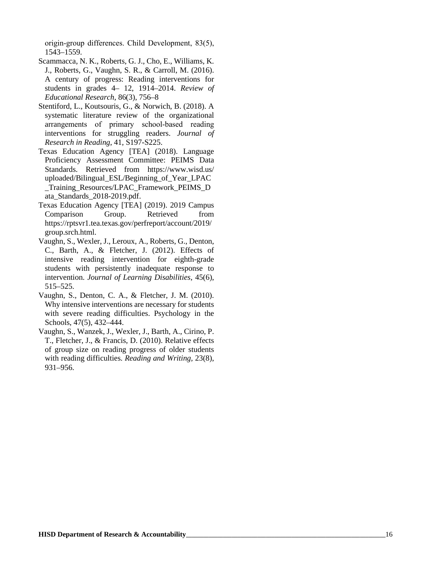origin‐group differences. Child Development, 83(5), 1543 –1559.

- Scammacca, N. K., Roberts, G. J., Cho, E., Williams, K. J., Roberts, G., Vaughn, S. R., & Carroll, M. (2016). A century of progress: Reading interventions for students in grades 4 – 12, 1914 –2014. *Review of Educational Research*, 86(3), 756 – 8
- Stentiford, L., Koutsouris, G., & Norwich, B. (2018). A systematic literature review of the organizational arrangements of primary school‐based reading interventions for struggling readers. *Journal of Research in Reading*, 41, S197 -S225.
- Texas Education Agency [TEA] (2018). Language Proficiency Assessment Committee: PEIMS Data Standards. Retrieved from [https://www.wisd.us/](https://www.wisd.us/uploaded/Bilingual_ESL/Beginning_of_Year_LPAC_Training_Resources/LPAC_Framework_PEIMS_Data_Standards_2018-2019.pdf) [uploaded/Bilingual\\_ESL/Beginning\\_of\\_Year\\_LPAC](https://www.wisd.us/uploaded/Bilingual_ESL/Beginning_of_Year_LPAC_Training_Resources/LPAC_Framework_PEIMS_Data_Standards_2018-2019.pdf) [\\_Training\\_Resources/LPAC\\_Framework\\_PEIMS\\_D](https://www.wisd.us/uploaded/Bilingual_ESL/Beginning_of_Year_LPAC_Training_Resources/LPAC_Framework_PEIMS_Data_Standards_2018-2019.pdf) [ata\\_Standards\\_2018](https://www.wisd.us/uploaded/Bilingual_ESL/Beginning_of_Year_LPAC_Training_Resources/LPAC_Framework_PEIMS_Data_Standards_2018-2019.pdf) -2019.pdf.
- Texas Education Agency [TEA] (2019). 2019 Campus Comparison Group. Retrieved from [https://rptsvr1.tea.texas.gov/perfreport/account/2019/](https://rptsvr1.tea.texas.gov/perfreport/account/2019/group.srch.html) [group.srch.html](https://rptsvr1.tea.texas.gov/perfreport/account/2019/group.srch.html) .
- Vaughn, S., Wexler, J., Leroux, A., Roberts, G., Denton, C., Barth, A., & Fletcher, J. (2012). Effects of intensive reading intervention for eighth -grade students with persistently inadequate response to intervention. *Journal of Learning Disabilities*, 45(6), 515 –525.
- Vaughn, S., Denton, C. A., & Fletcher, J. M. (2010). Why intensive interventions are necessary for students with severe reading difficulties. Psychology in the Schools, 47(5), 432 –444.
- Vaughn, S., Wanzek, J., Wexler, J., Barth, A., Cirino, P. T., Fletcher, J., & Francis, D. (2010). Relative effects of group size on reading progress of older students with reading difficulties. *Reading and Writing,* 23(8), 931 –956.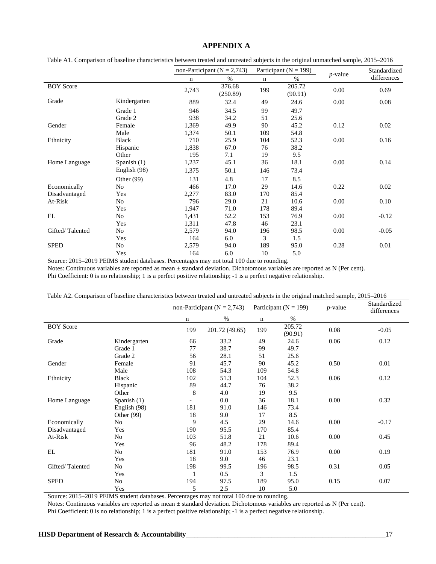#### **APPENDIX A**

| Table A1. Comparison of baseline characteristics between treated and untreated subjects in the original unmatched sample, 2015–2016 |  |  |  |  |  |  |
|-------------------------------------------------------------------------------------------------------------------------------------|--|--|--|--|--|--|
|                                                                                                                                     |  |  |  |  |  |  |

|                  |              |             | non-Participant ( $N = 2,743$ ) |     | Participant ( $N = 199$ ) | $p$ -value | Standardized |  |
|------------------|--------------|-------------|---------------------------------|-----|---------------------------|------------|--------------|--|
|                  |              | $\mathbf n$ | %                               | n   | %                         |            | differences  |  |
| <b>BOY</b> Score |              | 2,743       | 376.68<br>(250.89)              | 199 | 205.72<br>(90.91)         | 0.00       | 0.69         |  |
| Grade            | Kindergarten | 889         | 32.4                            | 49  | 24.6                      | 0.00       | 0.08         |  |
|                  | Grade 1      | 946         | 34.5                            | 99  | 49.7                      |            |              |  |
|                  | Grade 2      | 938         | 34.2                            | 51  | 25.6                      |            |              |  |
| Gender           | Female       | 1,369       | 49.9                            | 90  | 45.2                      | 0.12       | 0.02         |  |
|                  | Male         | 1,374       | 50.1                            | 109 | 54.8                      |            |              |  |
| Ethnicity        | Black        | 710         | 25.9                            | 104 | 52.3                      | 0.00       | 0.16         |  |
|                  | Hispanic     | 1,838       | 67.0                            | 76  | 38.2                      |            |              |  |
|                  | Other        | 195         | 7.1                             | 19  | 9.5                       |            |              |  |
| Home Language    | Spanish (1)  | 1,237       | 45.1                            | 36  | 18.1                      | 0.00       | 0.14         |  |
|                  | English (98) | 1,375       | 50.1                            | 146 | 73.4                      |            |              |  |
|                  | Other (99)   | 131         | 4.8                             | 17  | 8.5                       |            |              |  |
| Economically     | No           | 466         | 17.0                            | 29  | 14.6                      | 0.22       | 0.02         |  |
| Disadvantaged    | Yes          | 2,277       | 83.0                            | 170 | 85.4                      |            |              |  |
| At-Risk          | No           | 796         | 29.0                            | 21  | 10.6                      | 0.00       | 0.10         |  |
|                  | Yes          | 1,947       | 71.0                            | 178 | 89.4                      |            |              |  |
| EL               | No           | 1,431       | 52.2                            | 153 | 76.9                      | 0.00       | $-0.12$      |  |
|                  | Yes          | 1,311       | 47.8                            | 46  | 23.1                      |            |              |  |
| Gifted/Talented  | No           | 2,579       | 94.0                            | 196 | 98.5                      | 0.00       | $-0.05$      |  |
|                  | Yes          | 164         | 6.0                             | 3   | 1.5                       |            |              |  |
| <b>SPED</b>      | No           | 2,579       | 94.0                            | 189 | 95.0                      | 0.28       | 0.01         |  |
|                  | Yes          | 164         | 6.0                             | 10  | 5.0                       |            |              |  |

Source: 2015–2019 PEIMS student databases. Percentages may not total 100 due to rounding.

Notes: Continuous variables are reported as mean ± standard deviation. Dichotomous variables are reported as N (Per cent).

Phi Coefficient: 0 is no relationship; 1 is a perfect positive relationship; -1 is a perfect negative relationship.

|                  |               |     | non-Participant ( $N = 2,743$ ) |             | Participant ( $N = 199$ ) | $p$ -value | Standardized<br>differences |  |
|------------------|---------------|-----|---------------------------------|-------------|---------------------------|------------|-----------------------------|--|
|                  |               | n   | $\%$                            | $\mathbf n$ | $\%$                      |            |                             |  |
| <b>BOY</b> Score |               | 199 | 201.72 (49.65)                  | 199         | 205.72<br>(90.91)         | 0.08       | $-0.05$                     |  |
| Grade            | Kindergarten  | 66  | 33.2                            | 49          | 24.6                      | 0.06       | 0.12                        |  |
|                  | Grade 1       | 77  | 38.7                            | 99          | 49.7                      |            |                             |  |
|                  | Grade 2       | 56  | 28.1                            | 51          | 25.6                      |            |                             |  |
| Gender           | Female        | 91  | 45.7                            | 90          | 45.2                      | 0.50       | 0.01                        |  |
|                  | Male          | 108 | 54.3                            | 109         | 54.8                      |            |                             |  |
| Ethnicity        | <b>Black</b>  | 102 | 51.3                            | 104         | 52.3                      | 0.06       | 0.12                        |  |
|                  | Hispanic      | 89  | 44.7                            | 76          | 38.2                      |            |                             |  |
|                  | Other         | 8   | 4.0                             | 19          | 9.5                       |            |                             |  |
| Home Language    | Spanish $(1)$ |     | 0.0                             | 36          | 18.1                      | 0.00       | 0.32                        |  |
|                  | English (98)  | 181 | 91.0                            | 146         | 73.4                      |            |                             |  |
|                  | Other $(99)$  | 18  | 9.0                             | 17          | 8.5                       |            |                             |  |
| Economically     | No            | 9   | 4.5                             | 29          | 14.6                      | 0.00       | $-0.17$                     |  |
| Disadvantaged    | Yes           | 190 | 95.5                            | 170         | 85.4                      |            |                             |  |
| At-Risk          | No            | 103 | 51.8                            | 21          | 10.6                      | 0.00       | 0.45                        |  |
|                  | Yes           | 96  | 48.2                            | 178         | 89.4                      |            |                             |  |
| EL               | No            | 181 | 91.0                            | 153         | 76.9                      | 0.00       | 0.19                        |  |
|                  | Yes           | 18  | 9.0                             | 46          | 23.1                      |            |                             |  |
| Gifted/Talented  | No            | 198 | 99.5                            | 196         | 98.5                      | 0.31       | 0.05                        |  |
|                  | Yes           | 1   | 0.5                             | 3           | 1.5                       |            |                             |  |
| <b>SPED</b>      | No            | 194 | 97.5                            | 189         | 95.0                      | 0.15       | 0.07                        |  |
|                  | Yes           | 5   | 2.5                             | 10          | 5.0                       |            |                             |  |

Source: 2015–2019 PEIMS student databases. Percentages may not total 100 due to rounding.

Notes: Continuous variables are reported as mean ± standard deviation. Dichotomous variables are reported as N (Per cent).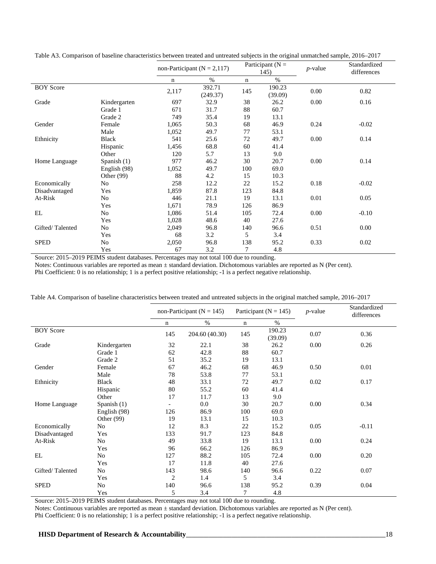|                  |               |       | non-Participant ( $N = 2,117$ ) | Participant ( $N =$<br>145) |                   | $p$ -value | Standardized<br>differences |
|------------------|---------------|-------|---------------------------------|-----------------------------|-------------------|------------|-----------------------------|
|                  |               | n     | $\%$                            | n                           | $\%$              |            |                             |
| <b>BOY Score</b> |               | 2,117 | 392.71<br>(249.37)              | 145                         | 190.23<br>(39.09) | 0.00       | 0.82                        |
| Grade            | Kindergarten  | 697   | 32.9                            | 38                          | 26.2              | 0.00       | 0.16                        |
|                  | Grade 1       | 671   | 31.7                            | 88                          | 60.7              |            |                             |
|                  | Grade 2       | 749   | 35.4                            | 19                          | 13.1              |            |                             |
| Gender           | Female        | 1,065 | 50.3                            | 68                          | 46.9              | 0.24       | $-0.02$                     |
|                  | Male          | 1,052 | 49.7                            | 77                          | 53.1              |            |                             |
| Ethnicity        | Black         | 541   | 25.6                            | 72                          | 49.7              | 0.00       | 0.14                        |
|                  | Hispanic      | 1,456 | 68.8                            | 60                          | 41.4              |            |                             |
|                  | Other         | 120   | 5.7                             | 13                          | 9.0               |            |                             |
| Home Language    | Spanish $(1)$ | 977   | 46.2                            | 30                          | 20.7              | 0.00       | 0.14                        |
|                  | English (98)  | 1,052 | 49.7                            | 100                         | 69.0              |            |                             |
|                  | Other $(99)$  | 88    | 4.2                             | 15                          | 10.3              |            |                             |
| Economically     | No            | 258   | 12.2                            | 22                          | 15.2              | 0.18       | $-0.02$                     |
| Disadvantaged    | Yes           | 1,859 | 87.8                            | 123                         | 84.8              |            |                             |
| At-Risk          | No            | 446   | 21.1                            | 19                          | 13.1              | 0.01       | 0.05                        |
|                  | Yes           | 1,671 | 78.9                            | 126                         | 86.9              |            |                             |
| EL               | No            | 1,086 | 51.4                            | 105                         | 72.4              | 0.00       | $-0.10$                     |
|                  | Yes           | 1,028 | 48.6                            | 40                          | 27.6              |            |                             |
| Gifted/Talented  | No            | 2,049 | 96.8                            | 140                         | 96.6              | 0.51       | 0.00                        |
|                  | Yes           | 68    | 3.2                             | 5                           | 3.4               |            |                             |
| <b>SPED</b>      | No            | 2,050 | 96.8                            | 138                         | 95.2              | 0.33       | 0.02                        |
|                  | Yes           | 67    | 3.2                             | 7                           | 4.8               |            |                             |

Table A3. Comparison of baseline characteristics between treated and untreated subjects in the original unmatched sample, 2016–2017

Source: 2015–2019 PEIMS student databases. Percentages may not total 100 due to rounding.

Notes: Continuous variables are reported as mean ± standard deviation. Dichotomous variables are reported as N (Per cent).

Phi Coefficient: 0 is no relationship; 1 is a perfect positive relationship; -1 is a perfect negative relationship.

|                  |               |                | Participant ( $N = 145$ )<br>non-Participant ( $N = 145$ )<br>$p$ -value |             |                   |      |         |  | Standardized<br>differences |
|------------------|---------------|----------------|--------------------------------------------------------------------------|-------------|-------------------|------|---------|--|-----------------------------|
|                  |               | $\mathbf n$    | $\%$                                                                     | $\mathbf n$ | $\%$              |      |         |  |                             |
| <b>BOY Score</b> |               | 145            | 204.60 (40.30)                                                           | 145         | 190.23<br>(39.09) | 0.07 | 0.36    |  |                             |
| Grade            | Kindergarten  | 32             | 22.1                                                                     | 38          | 26.2              | 0.00 | 0.26    |  |                             |
|                  | Grade 1       | 62             | 42.8                                                                     | 88          | 60.7              |      |         |  |                             |
|                  | Grade 2       | 51             | 35.2                                                                     | 19          | 13.1              |      |         |  |                             |
| Gender           | Female        | 67             | 46.2                                                                     | 68          | 46.9              | 0.50 | 0.01    |  |                             |
|                  | Male          | 78             | 53.8                                                                     | 77          | 53.1              |      |         |  |                             |
| Ethnicity        | <b>Black</b>  | 48             | 33.1                                                                     | 72          | 49.7              | 0.02 | 0.17    |  |                             |
|                  | Hispanic      | 80             | 55.2                                                                     | 60          | 41.4              |      |         |  |                             |
|                  | Other         | 17             | 11.7                                                                     | 13          | 9.0               |      |         |  |                             |
| Home Language    | Spanish $(1)$ |                | 0.0                                                                      | 30          | 20.7              | 0.00 | 0.34    |  |                             |
|                  | English (98)  | 126            | 86.9                                                                     | 100         | 69.0              |      |         |  |                             |
|                  | Other $(99)$  | 19             | 13.1                                                                     | 15          | 10.3              |      |         |  |                             |
| Economically     | No            | 12             | 8.3                                                                      | 22          | 15.2              | 0.05 | $-0.11$ |  |                             |
| Disadvantaged    | Yes           | 133            | 91.7                                                                     | 123         | 84.8              |      |         |  |                             |
| At-Risk          | No            | 49             | 33.8                                                                     | 19          | 13.1              | 0.00 | 0.24    |  |                             |
|                  | Yes           | 96             | 66.2                                                                     | 126         | 86.9              |      |         |  |                             |
| EL               | No            | 127            | 88.2                                                                     | 105         | 72.4              | 0.00 | 0.20    |  |                             |
|                  | Yes           | 17             | 11.8                                                                     | 40          | 27.6              |      |         |  |                             |
| Gifted/Talented  | No            | 143            | 98.6                                                                     | 140         | 96.6              | 0.22 | 0.07    |  |                             |
|                  | Yes           | $\overline{c}$ | 1.4                                                                      | 5           | 3.4               |      |         |  |                             |
| <b>SPED</b>      | No            | 140            | 96.6                                                                     | 138         | 95.2              | 0.39 | 0.04    |  |                             |
|                  | Yes           | 5              | 3.4                                                                      | 7           | 4.8               |      |         |  |                             |

Table A4. Comparison of baseline characteristics between treated and untreated subjects in the original matched sample, 2016–2017

Source: 2015–2019 PEIMS student databases. Percentages may not total 100 due to rounding.

Notes: Continuous variables are reported as mean ± standard deviation. Dichotomous variables are reported as N (Per cent).

Phi Coefficient: 0 is no relationship; 1 is a perfect positive relationship; -1 is a perfect negative relationship.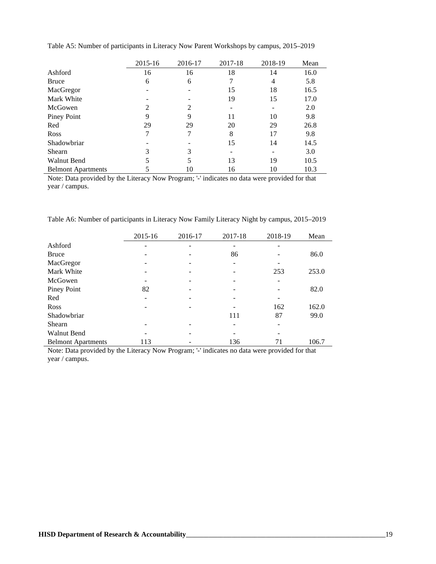|                           | 2015-16 | 2016-17 | 2017-18 | 2018-19 | Mean |
|---------------------------|---------|---------|---------|---------|------|
| Ashford                   | 16      | 16      | 18      | 14      | 16.0 |
| <b>Bruce</b>              | 6       | 6       |         | 4       | 5.8  |
| MacGregor                 |         |         | 15      | 18      | 16.5 |
| Mark White                |         |         | 19      | 15      | 17.0 |
| McGowen                   |         | 2       |         |         | 2.0  |
| Piney Point               | 9       | Q       | 11      | 10      | 9.8  |
| Red                       | 29      | 29      | 20      | 29      | 26.8 |
| <b>Ross</b>               |         | 7       | 8       | 17      | 9.8  |
| Shadowbriar               |         |         | 15      | 14      | 14.5 |
| Shearn                    | 3       | 3       |         |         | 3.0  |
| <b>Walnut Bend</b>        |         |         | 13      | 19      | 10.5 |
| <b>Belmont Apartments</b> |         | 10      | 16      | 10      | 10.3 |

Table A5: Number of participants in Literacy Now Parent Workshops by campus, 2015–2019

Note: Data provided by the Literacy Now Program; '-' indicates no data were provided for that year / campus.

| Table A6: Number of participants in Literacy Now Family Literacy Night by campus, 2015–2019 |  |  |  |  |  |
|---------------------------------------------------------------------------------------------|--|--|--|--|--|
|---------------------------------------------------------------------------------------------|--|--|--|--|--|

|                           | 2015-16 | 2016-17 | 2017-18 | 2018-19 | Mean  |
|---------------------------|---------|---------|---------|---------|-------|
| Ashford                   |         |         |         |         |       |
| <b>Bruce</b>              |         |         | 86      |         | 86.0  |
| MacGregor                 |         |         |         |         |       |
| Mark White                |         |         |         | 253     | 253.0 |
| McGowen                   |         |         |         |         |       |
| Piney Point               | 82      |         |         |         | 82.0  |
| Red                       |         |         |         |         |       |
| Ross                      |         |         |         | 162     | 162.0 |
| Shadowbriar               |         |         | 111     | 87      | 99.0  |
| Shearn                    |         |         |         |         |       |
| <b>Walnut Bend</b>        |         |         |         |         |       |
| <b>Belmont Apartments</b> | 113     |         | 136     | 71      | 106.7 |

Note: Data provided by the Literacy Now Program; '-' indicates no data were provided for that year / campus.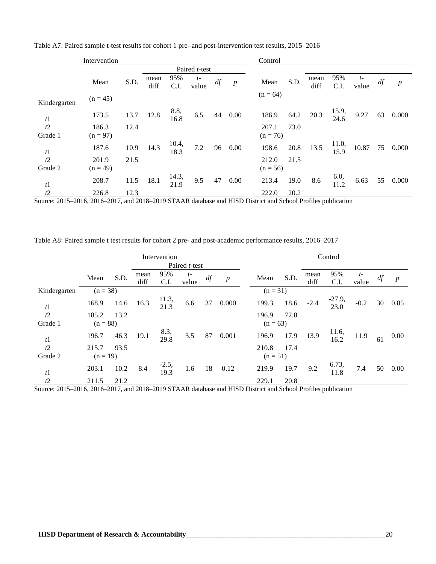|              | Intervention |      |      |               |               |    |                  | Control    |      |      |               |       |    |                  |
|--------------|--------------|------|------|---------------|---------------|----|------------------|------------|------|------|---------------|-------|----|------------------|
|              |              |      |      |               | Paired t-test |    |                  |            |      |      |               |       |    |                  |
|              | Mean         | S.D. | mean | 95%           | $t-$          | df |                  | Mean       | S.D. | mean | 95%           | $t-$  | df |                  |
|              |              |      | diff | C.I.          | value         |    | $\boldsymbol{p}$ |            |      | diff | C.I.          | value |    | $\boldsymbol{p}$ |
| Kindergarten | $(n = 45)$   |      |      |               |               |    |                  | $(n = 64)$ |      |      |               |       |    |                  |
| t1           | 173.5        | 13.7 | 12.8 | 8.8,<br>16.8  | 6.5           | 44 | 0.00             | 186.9      | 64.2 | 20.3 | 15.9,<br>24.6 | 9.27  | 63 | 0.000            |
| t2           | 186.3        | 12.4 |      |               |               |    |                  | 207.1      | 73.0 |      |               |       |    |                  |
| Grade 1      | $(n = 97)$   |      |      |               |               |    |                  | $(n = 76)$ |      |      |               |       |    |                  |
| t1           | 187.6        | 10.9 | 14.3 | 10.4,<br>18.3 | $7.2\,$       | 96 | 0.00             | 198.6      | 20.8 | 13.5 | 11.0,<br>15.9 | 10.87 | 75 | 0.000            |
| t2           | 201.9        | 21.5 |      |               |               |    |                  | 212.0      | 21.5 |      |               |       |    |                  |
| Grade 2      | $(n = 49)$   |      |      |               |               |    |                  | $(n = 56)$ |      |      |               |       |    |                  |
| t1           | 208.7        | 11.5 | 18.1 | 14.3,<br>21.9 | 9.5           | 47 | 0.00             | 213.4      | 19.0 | 8.6  | 6.0,<br>11.2  | 6.63  | 55 | 0.000            |
| t2           | 226.8        | 12.3 |      |               |               |    |                  | 222.0      | 20.2 |      |               |       |    |                  |

Table A7: Paired sample t-test results for cohort 1 pre- and post-intervention test results, 2015–2016

Source: 2015–2016, 2016–2017, and 2018–2019 STAAR database and HISD District and School Profiles publication

Table A8: Paired sample t test results for cohort 2 pre- and post-academic performance results, 2016–2017

|                | Intervention |      |              |                 |               |    |                  |            |      | Control      |                  |               |    |                  |
|----------------|--------------|------|--------------|-----------------|---------------|----|------------------|------------|------|--------------|------------------|---------------|----|------------------|
|                |              |      |              |                 | Paired t-test |    |                  |            |      |              |                  |               |    |                  |
|                | Mean         | S.D. | mean<br>diff | 95%<br>C.I.     | $t-$<br>value | df | $\boldsymbol{p}$ | Mean       | S.D. | mean<br>diff | 95%<br>C.I.      | $t-$<br>value | df | $\boldsymbol{p}$ |
| Kindergarten   | $(n = 38)$   |      |              |                 |               |    |                  | $(n = 31)$ |      |              |                  |               |    |                  |
| t <sub>1</sub> | 168.9        | 14.6 | 16.3         | 11.3,<br>21.3   | 6.6           | 37 | 0.000            | 199.3      | 18.6 | $-2.4$       | $-27.9,$<br>23.0 | $-0.2$        | 30 | 0.85             |
| t2             | 185.2        | 13.2 |              |                 |               |    |                  | 196.9      | 72.8 |              |                  |               |    |                  |
| Grade 1        | $(n = 88)$   |      |              |                 |               |    |                  | $(n = 63)$ |      |              |                  |               |    |                  |
| t <sub>1</sub> | 196.7        | 46.3 | 19.1         | 8.3,<br>29.8    | 3.5           | 87 | 0.001            | 196.9      | 17.9 | 13.9         | 11.6,<br>16.2    | 11.9          | 61 | 0.00             |
| t2             | 215.7        | 93.5 |              |                 |               |    |                  | 210.8      | 17.4 |              |                  |               |    |                  |
| Grade 2        | $(n = 19)$   |      |              |                 |               |    |                  | $(n = 51)$ |      |              |                  |               |    |                  |
| t <sub>1</sub> | 203.1        | 10.2 | 8.4          | $-2.5,$<br>19.3 | 1.6           | 18 | 0.12             | 219.9      | 19.7 | 9.2          | 6.73,<br>11.8    | 7.4           | 50 | 0.00             |
| t2             | 211.5        | 21.2 |              |                 |               |    |                  | 229.1      | 20.8 |              |                  |               |    |                  |

Source: 2015–2016, 2016–2017, and 2018–2019 STAAR database and HISD District and School Profiles publication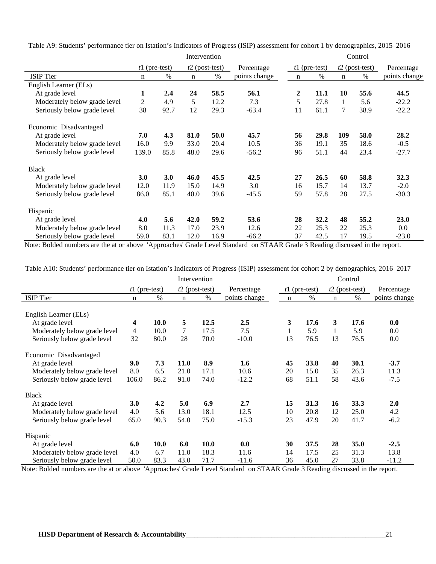|                              | Intervention    |      |      |                  |               | Control |                 |             |                  |               |
|------------------------------|-----------------|------|------|------------------|---------------|---------|-----------------|-------------|------------------|---------------|
|                              | $t1$ (pre-test) |      |      | $t2$ (post-test) | Percentage    |         | $t1$ (pre-test) |             | $t2$ (post-test) | Percentage    |
| <b>ISIP</b> Tier             | n               | $\%$ | n    | $\%$             | points change | n       | $\%$            | $\mathbf n$ | $\%$             | points change |
| English Learner (ELs)        |                 |      |      |                  |               |         |                 |             |                  |               |
| At grade level               | 1               | 2.4  | 24   | 58.5             | 56.1          | 2       | 11.1            | 10          | 55.6             | 44.5          |
| Moderately below grade level | 2               | 4.9  | 5    | 12.2             | 7.3           | 5       | 27.8            | 1           | 5.6              | $-22.2$       |
| Seriously below grade level  | 38              | 92.7 | 12   | 29.3             | $-63.4$       | 11      | 61.1            | 7           | 38.9             | $-22.2$       |
| Economic Disadvantaged       |                 |      |      |                  |               |         |                 |             |                  |               |
| At grade level               | 7.0             | 4.3  | 81.0 | 50.0             | 45.7          | 56      | 29.8            | 109         | 58.0             | 28.2          |
| Moderately below grade level | 16.0            | 9.9  | 33.0 | 20.4             | 10.5          | 36      | 19.1            | 35          | 18.6             | $-0.5$        |
| Seriously below grade level  | 139.0           | 85.8 | 48.0 | 29.6             | $-56.2$       | 96      | 51.1            | 44          | 23.4             | $-27.7$       |
| <b>Black</b>                 |                 |      |      |                  |               |         |                 |             |                  |               |
| At grade level               | <b>3.0</b>      | 3.0  | 46.0 | 45.5             | 42.5          | 27      | 26.5            | 60          | 58.8             | 32.3          |
| Moderately below grade level | 12.0            | 11.9 | 15.0 | 14.9             | 3.0           | 16      | 15.7            | 14          | 13.7             | $-2.0$        |
| Seriously below grade level  | 86.0            | 85.1 | 40.0 | 39.6             | $-45.5$       | 59      | 57.8            | 28          | 27.5             | $-30.3$       |
| Hispanic                     |                 |      |      |                  |               |         |                 |             |                  |               |
| At grade level               | 4.0             | 5.6  | 42.0 | 59.2             | 53.6          | 28      | 32.2            | 48          | 55.2             | 23.0          |
| Moderately below grade level | 8.0             | 11.3 | 17.0 | 23.9             | 12.6          | 22      | 25.3            | 22          | 25.3             | $0.0\,$       |
| Seriously below grade level  | 59.0            | 83.1 | 12.0 | 16.9             | $-66.2$       | 37      | 42.5            | 17          | 19.5             | $-23.0$       |

Table A9: Students' performance tier on Istation's Indicators of Progress (ISIP) assessment for cohort 1 by demographics, 2015–2016

Note: Bolded numbers are the at or above 'Approaches' Grade Level Standard on STAAR Grade 3 Reading discussed in the report.

Table A10: Students' performance tier on Istation's Indicators of Progress (ISIP) assessment for cohort 2 by demographics, 2016–2017

|                              | Intervention    |      |             |                  |               | Control     |                 |             |                  |                  |
|------------------------------|-----------------|------|-------------|------------------|---------------|-------------|-----------------|-------------|------------------|------------------|
|                              | $t1$ (pre-test) |      |             | $t2$ (post-test) | Percentage    |             | $t1$ (pre-test) |             | $t2$ (post-test) | Percentage       |
| <b>ISIP</b> Tier             | $\mathbf n$     | $\%$ | $\mathbf n$ | $\%$             | points change | $\mathbf n$ | $\%$            | $\mathbf n$ | $\%$             | points change    |
|                              |                 |      |             |                  |               |             |                 |             |                  |                  |
| English Learner (ELs)        |                 |      |             |                  |               |             |                 |             |                  |                  |
| At grade level               | 4               | 10.0 | 5           | 12.5             | 2.5           | 3           | 17.6            | 3           | 17.6             | 0.0              |
| Moderately below grade level | $\overline{4}$  | 10.0 | 7           | 17.5             | 7.5           | 1           | 5.9             |             | 5.9              | 0.0 <sub>1</sub> |
| Seriously below grade level  | 32              | 80.0 | 28          | 70.0             | $-10.0$       | 13          | 76.5            | 13          | 76.5             | $0.0\,$          |
| Economic Disadvantaged       |                 |      |             |                  |               |             |                 |             |                  |                  |
| At grade level               | 9.0             | 7.3  | <b>11.0</b> | 8.9              | 1.6           | 45          | 33.8            | 40          | 30.1             | $-3.7$           |
| Moderately below grade level | 8.0             | 6.5  | 21.0        | 17.1             | 10.6          | 20          | 15.0            | 35          | 26.3             | 11.3             |
| Seriously below grade level  | 106.0           | 86.2 | 91.0        | 74.0             | $-12.2$       | 68          | 51.1            | 58          | 43.6             | $-7.5$           |
| <b>Black</b>                 |                 |      |             |                  |               |             |                 |             |                  |                  |
| At grade level               | 3.0             | 4.2  | 5.0         | 6.9              | 2.7           | 15          | 31.3            | 16          | 33.3             | 2.0              |
| Moderately below grade level | 4.0             | 5.6  | 13.0        | 18.1             | 12.5          | 10          | 20.8            | 12          | 25.0             | 4.2              |
| Seriously below grade level  | 65.0            | 90.3 | 54.0        | 75.0             | $-15.3$       | 23          | 47.9            | 20          | 41.7             | $-6.2$           |
| Hispanic                     |                 |      |             |                  |               |             |                 |             |                  |                  |
| At grade level               | 6.0             | 10.0 | 6.0         | <b>10.0</b>      | 0.0           | 30          | 37.5            | 28          | 35.0             | $-2.5$           |
| Moderately below grade level | 4.0             | 6.7  | 11.0        | 18.3             | 11.6          | 14          | 17.5            | 25          | 31.3             | 13.8             |
| Seriously below grade level  | 50.0            | 83.3 | 43.0        | 71.7             | $-11.6$       | 36          | 45.0            | 27          | 33.8             | $-11.2$          |

Note: Bolded numbers are the at or above 'Approaches' Grade Level Standard on STAAR Grade 3 Reading discussed in the report.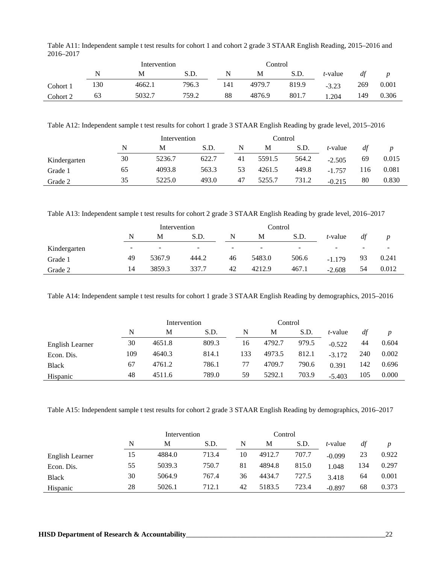|          |     | Intervention |       |     | Control |       |         |     |       |
|----------|-----|--------------|-------|-----|---------|-------|---------|-----|-------|
|          |     | М            | S.D.  | N   | М       | S.D.  | t-value | dt  |       |
| Cohort 1 | 130 | 4662.1       | 796.3 | 141 | 4979.7  | 819.9 | $-3.23$ | 269 | 0.001 |
| Cohort 2 | 63  | 5032.7       | 759.2 | 88  | 4876.9  | 801.7 | .204    | 149 | 0.306 |

Table A11: Independent sample t test results for cohort 1 and cohort 2 grade 3 STAAR English Reading, 2015–2016 and 2016–2017

Table A12: Independent sample t test results for cohort 1 grade 3 STAAR English Reading by grade level, 2015–2016

|              |    | Intervention |       |    | Control |       |          |     |       |  |
|--------------|----|--------------|-------|----|---------|-------|----------|-----|-------|--|
|              | N  | M            | S.D.  | N  | M       | S.D.  | t-value  | df  |       |  |
| Kindergarten | 30 | 5236.7       | 622.7 | 41 | 5591.5  | 564.2 | $-2.505$ | 69  | 0.015 |  |
| Grade 1      | 65 | 4093.8       | 563.3 | 53 | 4261.5  | 449.8 | $-1757$  | 116 | 0.081 |  |
| Grade 2      | 35 | 5225.0       | 493.0 | 47 | 5255.7  | 731.2 | $-0.215$ | 80  | 0.830 |  |

Table A13: Independent sample t test results for cohort 2 grade 3 STAAR English Reading by grade level, 2016–2017

|              |    | Intervention |       |    | Control |       |                          |                          |                          |
|--------------|----|--------------|-------|----|---------|-------|--------------------------|--------------------------|--------------------------|
|              | N  | M            | S.D.  | N  | M       | S.D.  | <i>t</i> -value          | dt                       |                          |
| Kindergarten | ۰  | -            | -     | -  |         | -     | $\overline{\phantom{0}}$ | $\overline{\phantom{a}}$ | $\overline{\phantom{0}}$ |
| Grade 1      | 49 | 5367.9       | 444.2 | 46 | 5483.0  | 506.6 | $-1.179$                 | 93                       | 0.241                    |
| Grade 2      | 14 | 3859.3       | 337.7 | 42 | 4212.9  | 467.1 | $-2.608$                 | 54                       | 0.012                    |

Table A14: Independent sample t test results for cohort 1 grade 3 STAAR English Reading by demographics, 2015–2016

|                 |     | Intervention |       |     | Control |       |          |     |       |
|-----------------|-----|--------------|-------|-----|---------|-------|----------|-----|-------|
|                 | N   | M            | S.D.  | N   | М       | S.D.  | t-value  | df  |       |
| English Learner | 30  | 4651.8       | 809.3 | 16  | 4792.7  | 979.5 | $-0.522$ | 44  | 0.604 |
| Econ. Dis.      | 109 | 4640.3       | 814.1 | 133 | 4973.5  | 812.1 | $-3.172$ | 240 | 0.002 |
| <b>Black</b>    | 67  | 4761.2       | 786.1 | 77  | 4709.7  | 790.6 | 0.391    | 142 | 0.696 |
| Hispanic        | 48  | 4511.6       | 789.0 | 59  | 5292.1  | 703.9 | $-5.403$ | 105 | 0.000 |

Table A15: Independent sample t test results for cohort 2 grade 3 STAAR English Reading by demographics, 2016–2017

|                 |    | Intervention |       |    | Control |       |          |     |       |
|-----------------|----|--------------|-------|----|---------|-------|----------|-----|-------|
|                 | N  | М            | S.D.  | N  | M       | S.D.  | t-value  | df  |       |
| English Learner | 15 | 4884.0       | 713.4 | 10 | 4912.7  | 707.7 | $-0.099$ | 23  | 0.922 |
| Econ. Dis.      | 55 | 5039.3       | 750.7 | 81 | 4894.8  | 815.0 | 1.048    | 134 | 0.297 |
| Black           | 30 | 5064.9       | 767.4 | 36 | 4434.7  | 727.5 | 3.418    | 64  | 0.001 |
| Hispanic        | 28 | 5026.1       | 712.1 | 42 | 5183.5  | 723.4 | $-0.897$ | 68  | 0.373 |